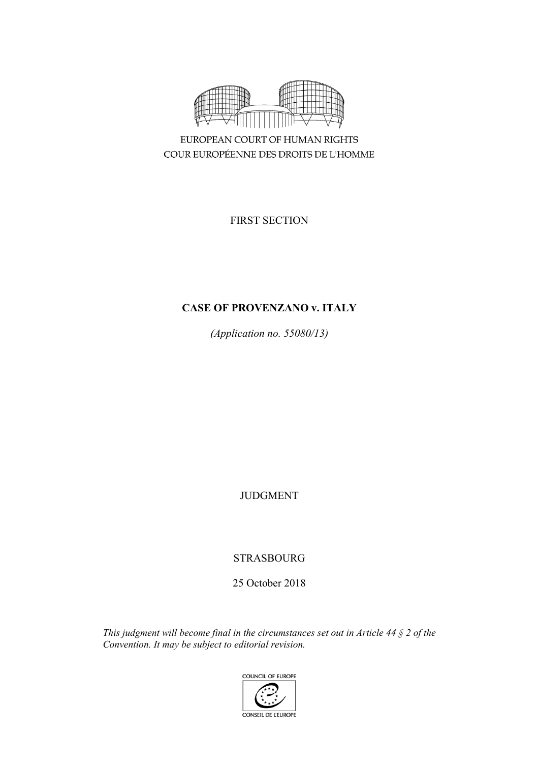

COUR EUROPÉENNE DES DROITS DE L'HOMME

FIRST SECTION

# **CASE OF PROVENZANO v. ITALY**

*(Application no. 55080/13)*

JUDGMENT

STRASBOURG

25 October 2018

*This judgment will become final in the circumstances set out in Article 44 § 2 of the Convention. It may be subject to editorial revision.*

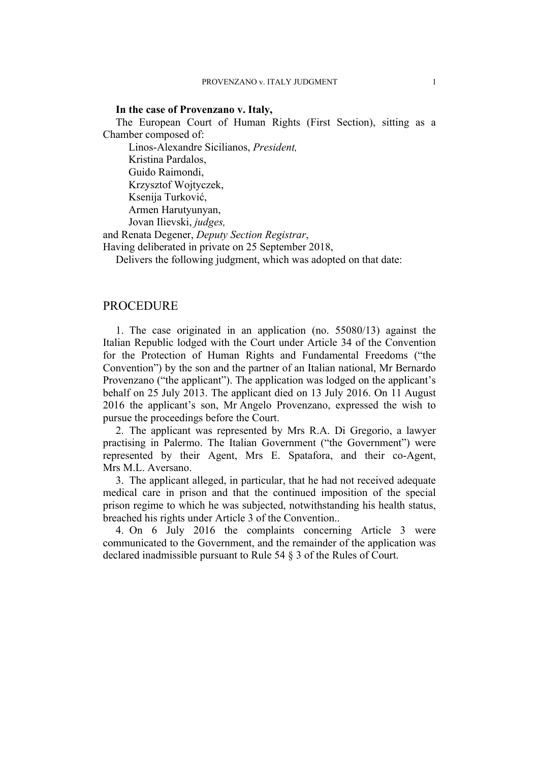#### **In the case of Provenzano v. Italy,**

The European Court of Human Rights (First Section), sitting as a Chamber composed of:

Linos-Alexandre Sicilianos, *President,* Kristina Pardalos, Guido Raimondi, Krzysztof Wojtyczek, Ksenija Turković, Armen Harutyunyan, Jovan Ilievski, *judges,*

and Renata Degener, *Deputy Section Registrar*,

Having deliberated in private on 25 September 2018,

Delivers the following judgment, which was adopted on that date:

# **PROCEDURE**

1. The case originated in an application (no. 55080/13) against the Italian Republic lodged with the Court under Article 34 of the Convention for the Protection of Human Rights and Fundamental Freedoms ("the Convention") by the son and the partner of an Italian national, Mr Bernardo Provenzano ("the applicant"). The application was lodged on the applicant's behalf on 25 July 2013. The applicant died on 13 July 2016. On 11 August 2016 the applicant's son, Mr Angelo Provenzano, expressed the wish to pursue the proceedings before the Court.

2. The applicant was represented by Mrs R.A. Di Gregorio, a lawyer practising in Palermo. The Italian Government ("the Government") were represented by their Agent, Mrs E. Spatafora, and their co-Agent, Mrs M.L. Aversano.

3. The applicant alleged, in particular, that he had not received adequate medical care in prison and that the continued imposition of the special prison regime to which he was subjected, notwithstanding his health status, breached his rights under Article 3 of the Convention..

4. On 6 July 2016 the complaints concerning Article 3 were communicated to the Government, and the remainder of the application was declared inadmissible pursuant to Rule 54 § 3 of the Rules of Court.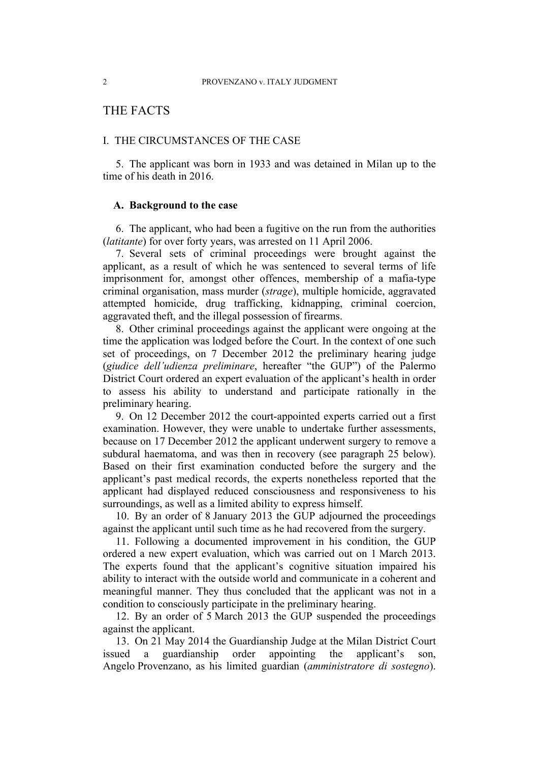# THE FACTS

## I. THE CIRCUMSTANCES OF THE CASE

5. The applicant was born in 1933 and was detained in Milan up to the time of his death in 2016.

## **A. Background to the case**

6. The applicant, who had been a fugitive on the run from the authorities (*latitante*) for over forty years, was arrested on 11 April 2006.

7. Several sets of criminal proceedings were brought against the applicant, as a result of which he was sentenced to several terms of life imprisonment for, amongst other offences, membership of a mafia-type criminal organisation, mass murder (*strage*), multiple homicide, aggravated attempted homicide, drug trafficking, kidnapping, criminal coercion, aggravated theft, and the illegal possession of firearms.

8. Other criminal proceedings against the applicant were ongoing at the time the application was lodged before the Court. In the context of one such set of proceedings, on 7 December 2012 the preliminary hearing judge (*giudice dell'udienza preliminare*, hereafter "the GUP") of the Palermo District Court ordered an expert evaluation of the applicant's health in order to assess his ability to understand and participate rationally in the preliminary hearing.

<span id="page-3-1"></span>9. On 12 December 2012 the court-appointed experts carried out a first examination. However, they were unable to undertake further assessments, because on 17 December 2012 the applicant underwent surgery to remove a subdural haematoma, and was then in recovery (see paragraph [25](#page-6-0) below). Based on their first examination conducted before the surgery and the applicant's past medical records, the experts nonetheless reported that the applicant had displayed reduced consciousness and responsiveness to his surroundings, as well as a limited ability to express himself.

10. By an order of 8 January 2013 the GUP adjourned the proceedings against the applicant until such time as he had recovered from the surgery.

<span id="page-3-0"></span>11. Following a documented improvement in his condition, the GUP ordered a new expert evaluation, which was carried out on 1 March 2013. The experts found that the applicant's cognitive situation impaired his ability to interact with the outside world and communicate in a coherent and meaningful manner. They thus concluded that the applicant was not in a condition to consciously participate in the preliminary hearing.

12. By an order of 5 March 2013 the GUP suspended the proceedings against the applicant.

13. On 21 May 2014 the Guardianship Judge at the Milan District Court issued a guardianship order appointing the applicant's son, Angelo Provenzano, as his limited guardian (*amministratore di sostegno*).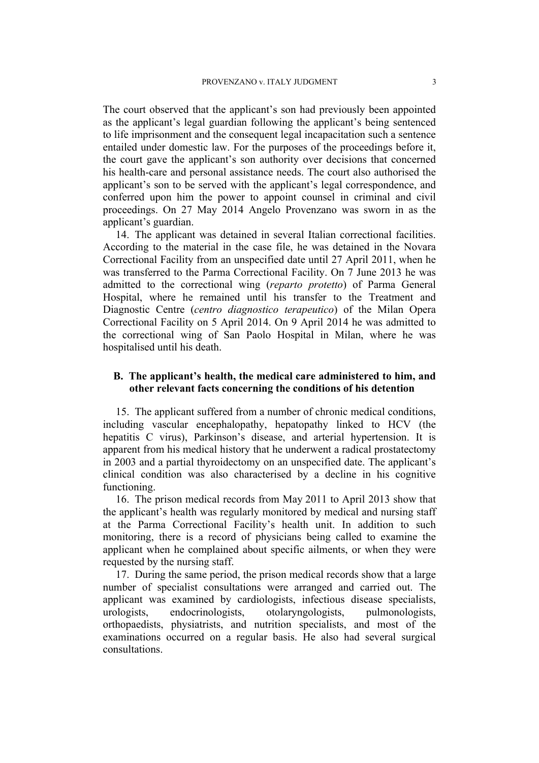The court observed that the applicant's son had previously been appointed as the applicant's legal guardian following the applicant's being sentenced to life imprisonment and the consequent legal incapacitation such a sentence entailed under domestic law. For the purposes of the proceedings before it, the court gave the applicant's son authority over decisions that concerned his health-care and personal assistance needs. The court also authorised the applicant's son to be served with the applicant's legal correspondence, and conferred upon him the power to appoint counsel in criminal and civil proceedings. On 27 May 2014 Angelo Provenzano was sworn in as the applicant's guardian.

14. The applicant was detained in several Italian correctional facilities. According to the material in the case file, he was detained in the Novara Correctional Facility from an unspecified date until 27 April 2011, when he was transferred to the Parma Correctional Facility. On 7 June 2013 he was admitted to the correctional wing (*reparto protetto*) of Parma General Hospital, where he remained until his transfer to the Treatment and Diagnostic Centre (*centro diagnostico terapeutico*) of the Milan Opera Correctional Facility on 5 April 2014. On 9 April 2014 he was admitted to the correctional wing of San Paolo Hospital in Milan, where he was hospitalised until his death.

## **B. The applicant's health, the medical care administered to him, and other relevant facts concerning the conditions of his detention**

<span id="page-4-0"></span>15. The applicant suffered from a number of chronic medical conditions, including vascular encephalopathy, hepatopathy linked to HCV (the hepatitis C virus), Parkinson's disease, and arterial hypertension. It is apparent from his medical history that he underwent a radical prostatectomy in 2003 and a partial thyroidectomy on an unspecified date. The applicant's clinical condition was also characterised by a decline in his cognitive functioning.

<span id="page-4-1"></span>16. The prison medical records from May 2011 to April 2013 show that the applicant's health was regularly monitored by medical and nursing staff at the Parma Correctional Facility's health unit. In addition to such monitoring, there is a record of physicians being called to examine the applicant when he complained about specific ailments, or when they were requested by the nursing staff.

<span id="page-4-2"></span>17. During the same period, the prison medical records show that a large number of specialist consultations were arranged and carried out. The applicant was examined by cardiologists, infectious disease specialists, urologists, endocrinologists, otolaryngologists, pulmonologists, orthopaedists, physiatrists, and nutrition specialists, and most of the examinations occurred on a regular basis. He also had several surgical consultations.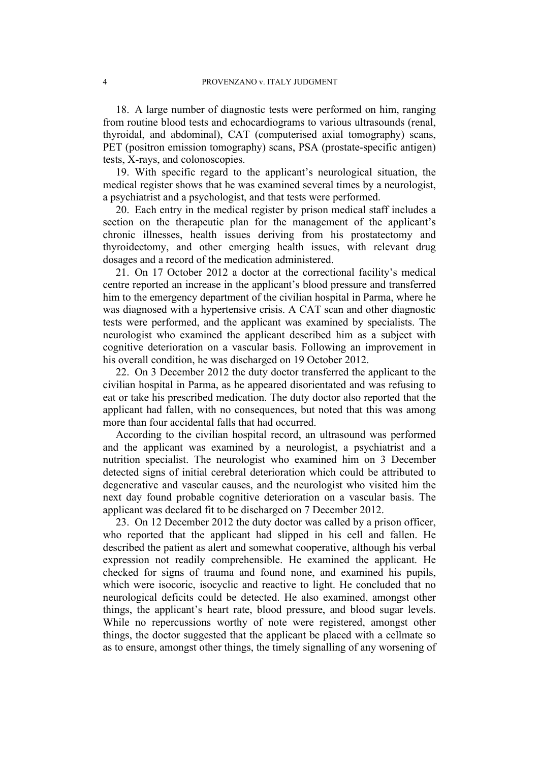<span id="page-5-1"></span>18. A large number of diagnostic tests were performed on him, ranging from routine blood tests and echocardiograms to various ultrasounds (renal, thyroidal, and abdominal), CAT (computerised axial tomography) scans, PET (positron emission tomography) scans, PSA (prostate-specific antigen) tests, X-rays, and colonoscopies.

19. With specific regard to the applicant's neurological situation, the medical register shows that he was examined several times by a neurologist, a psychiatrist and a psychologist, and that tests were performed.

<span id="page-5-0"></span>20. Each entry in the medical register by prison medical staff includes a section on the therapeutic plan for the management of the applicant's chronic illnesses, health issues deriving from his prostatectomy and thyroidectomy, and other emerging health issues, with relevant drug dosages and a record of the medication administered.

<span id="page-5-2"></span>21. On 17 October 2012 a doctor at the correctional facility's medical centre reported an increase in the applicant's blood pressure and transferred him to the emergency department of the civilian hospital in Parma, where he was diagnosed with a hypertensive crisis. A CAT scan and other diagnostic tests were performed, and the applicant was examined by specialists. The neurologist who examined the applicant described him as a subject with cognitive deterioration on a vascular basis. Following an improvement in his overall condition, he was discharged on 19 October 2012.

<span id="page-5-3"></span>22. On 3 December 2012 the duty doctor transferred the applicant to the civilian hospital in Parma, as he appeared disorientated and was refusing to eat or take his prescribed medication. The duty doctor also reported that the applicant had fallen, with no consequences, but noted that this was among more than four accidental falls that had occurred.

According to the civilian hospital record, an ultrasound was performed and the applicant was examined by a neurologist, a psychiatrist and a nutrition specialist. The neurologist who examined him on 3 December detected signs of initial cerebral deterioration which could be attributed to degenerative and vascular causes, and the neurologist who visited him the next day found probable cognitive deterioration on a vascular basis. The applicant was declared fit to be discharged on 7 December 2012.

<span id="page-5-4"></span>23. On 12 December 2012 the duty doctor was called by a prison officer, who reported that the applicant had slipped in his cell and fallen. He described the patient as alert and somewhat cooperative, although his verbal expression not readily comprehensible. He examined the applicant. He checked for signs of trauma and found none, and examined his pupils, which were isocoric, isocyclic and reactive to light. He concluded that no neurological deficits could be detected. He also examined, amongst other things, the applicant's heart rate, blood pressure, and blood sugar levels. While no repercussions worthy of note were registered, amongst other things, the doctor suggested that the applicant be placed with a cellmate so as to ensure, amongst other things, the timely signalling of any worsening of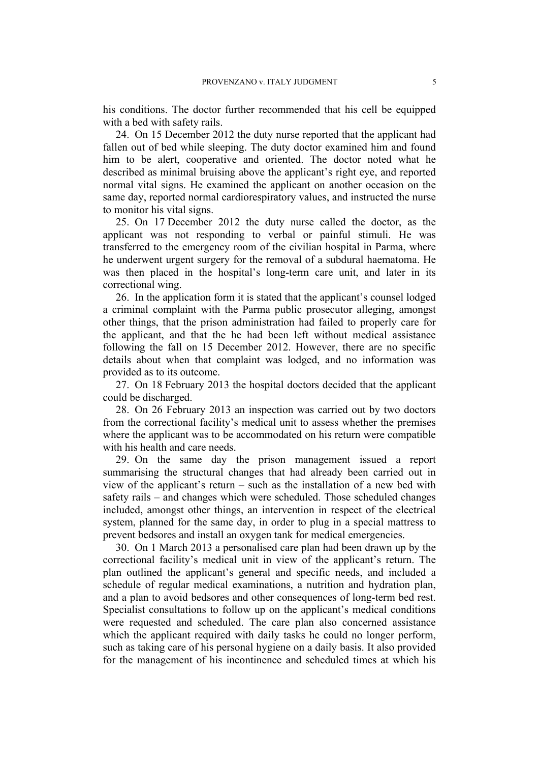his conditions. The doctor further recommended that his cell be equipped with a bed with safety rails.

<span id="page-6-3"></span>24. On 15 December 2012 the duty nurse reported that the applicant had fallen out of bed while sleeping. The duty doctor examined him and found him to be alert, cooperative and oriented. The doctor noted what he described as minimal bruising above the applicant's right eye, and reported normal vital signs. He examined the applicant on another occasion on the same day, reported normal cardiorespiratory values, and instructed the nurse to monitor his vital signs.

<span id="page-6-0"></span>25. On 17 December 2012 the duty nurse called the doctor, as the applicant was not responding to verbal or painful stimuli. He was transferred to the emergency room of the civilian hospital in Parma, where he underwent urgent surgery for the removal of a subdural haematoma. He was then placed in the hospital's long-term care unit, and later in its correctional wing.

<span id="page-6-4"></span>26. In the application form it is stated that the applicant's counsel lodged a criminal complaint with the Parma public prosecutor alleging, amongst other things, that the prison administration had failed to properly care for the applicant, and that the he had been left without medical assistance following the fall on 15 December 2012. However, there are no specific details about when that complaint was lodged, and no information was provided as to its outcome.

27. On 18 February 2013 the hospital doctors decided that the applicant could be discharged.

<span id="page-6-1"></span>28. On 26 February 2013 an inspection was carried out by two doctors from the correctional facility's medical unit to assess whether the premises where the applicant was to be accommodated on his return were compatible with his health and care needs.

<span id="page-6-5"></span>29. On the same day the prison management issued a report summarising the structural changes that had already been carried out in view of the applicant's return – such as the installation of a new bed with safety rails – and changes which were scheduled. Those scheduled changes included, amongst other things, an intervention in respect of the electrical system, planned for the same day, in order to plug in a special mattress to prevent bedsores and install an oxygen tank for medical emergencies.

<span id="page-6-2"></span>30. On 1 March 2013 a personalised care plan had been drawn up by the correctional facility's medical unit in view of the applicant's return. The plan outlined the applicant's general and specific needs, and included a schedule of regular medical examinations, a nutrition and hydration plan, and a plan to avoid bedsores and other consequences of long-term bed rest. Specialist consultations to follow up on the applicant's medical conditions were requested and scheduled. The care plan also concerned assistance which the applicant required with daily tasks he could no longer perform, such as taking care of his personal hygiene on a daily basis. It also provided for the management of his incontinence and scheduled times at which his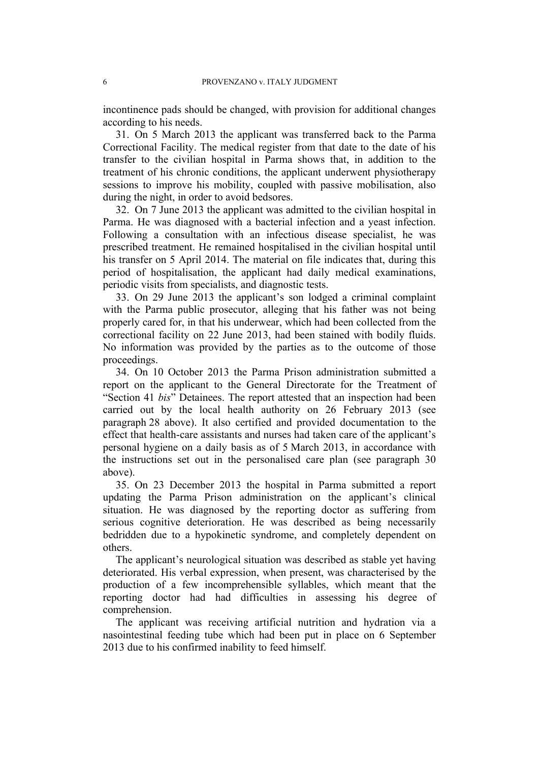incontinence pads should be changed, with provision for additional changes according to his needs.

31. On 5 March 2013 the applicant was transferred back to the Parma Correctional Facility. The medical register from that date to the date of his transfer to the civilian hospital in Parma shows that, in addition to the treatment of his chronic conditions, the applicant underwent physiotherapy sessions to improve his mobility, coupled with passive mobilisation, also during the night, in order to avoid bedsores.

32. On 7 June 2013 the applicant was admitted to the civilian hospital in Parma. He was diagnosed with a bacterial infection and a yeast infection. Following a consultation with an infectious disease specialist, he was prescribed treatment. He remained hospitalised in the civilian hospital until his transfer on 5 April 2014. The material on file indicates that, during this period of hospitalisation, the applicant had daily medical examinations, periodic visits from specialists, and diagnostic tests.

<span id="page-7-1"></span>33. On 29 June 2013 the applicant's son lodged a criminal complaint with the Parma public prosecutor, alleging that his father was not being properly cared for, in that his underwear, which had been collected from the correctional facility on 22 June 2013, had been stained with bodily fluids. No information was provided by the parties as to the outcome of those proceedings.

<span id="page-7-2"></span>34. On 10 October 2013 the Parma Prison administration submitted a report on the applicant to the General Directorate for the Treatment of "Section 41 *bis*" Detainees. The report attested that an inspection had been carried out by the local health authority on 26 February 2013 (see paragraph [28](#page-6-1) above). It also certified and provided documentation to the effect that health-care assistants and nurses had taken care of the applicant's personal hygiene on a daily basis as of 5 March 2013, in accordance with the instructions set out in the personalised care plan (see paragraph [30](#page-6-2) above).

<span id="page-7-0"></span>35. On 23 December 2013 the hospital in Parma submitted a report updating the Parma Prison administration on the applicant's clinical situation. He was diagnosed by the reporting doctor as suffering from serious cognitive deterioration. He was described as being necessarily bedridden due to a hypokinetic syndrome, and completely dependent on others.

The applicant's neurological situation was described as stable yet having deteriorated. His verbal expression, when present, was characterised by the production of a few incomprehensible syllables, which meant that the reporting doctor had had difficulties in assessing his degree of comprehension.

The applicant was receiving artificial nutrition and hydration via a nasointestinal feeding tube which had been put in place on 6 September 2013 due to his confirmed inability to feed himself.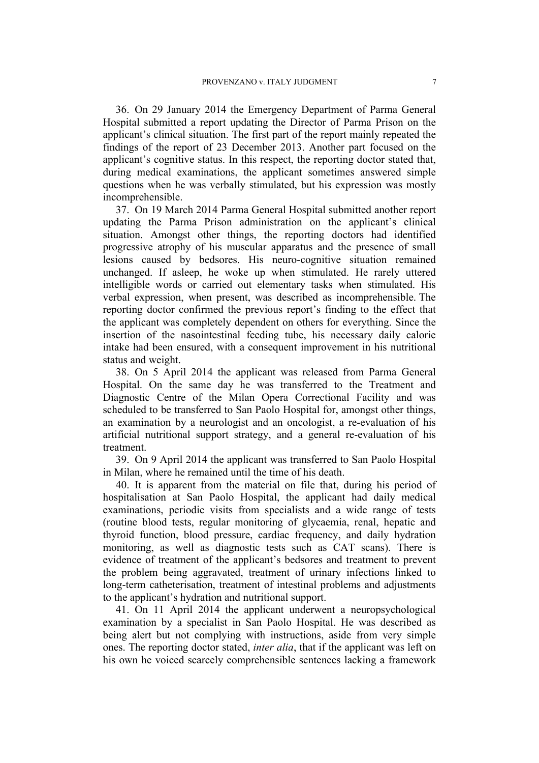<span id="page-8-2"></span>36. On 29 January 2014 the Emergency Department of Parma General Hospital submitted a report updating the Director of Parma Prison on the applicant's clinical situation. The first part of the report mainly repeated the findings of the report of 23 December 2013. Another part focused on the applicant's cognitive status. In this respect, the reporting doctor stated that, during medical examinations, the applicant sometimes answered simple questions when he was verbally stimulated, but his expression was mostly incomprehensible.

37. On 19 March 2014 Parma General Hospital submitted another report updating the Parma Prison administration on the applicant's clinical situation. Amongst other things, the reporting doctors had identified progressive atrophy of his muscular apparatus and the presence of small lesions caused by bedsores. His neuro-cognitive situation remained unchanged. If asleep, he woke up when stimulated. He rarely uttered intelligible words or carried out elementary tasks when stimulated. His verbal expression, when present, was described as incomprehensible. The reporting doctor confirmed the previous report's finding to the effect that the applicant was completely dependent on others for everything. Since the insertion of the nasointestinal feeding tube, his necessary daily calorie intake had been ensured, with a consequent improvement in his nutritional status and weight.

38. On 5 April 2014 the applicant was released from Parma General Hospital. On the same day he was transferred to the Treatment and Diagnostic Centre of the Milan Opera Correctional Facility and was scheduled to be transferred to San Paolo Hospital for, amongst other things, an examination by a neurologist and an oncologist, a re-evaluation of his artificial nutritional support strategy, and a general re-evaluation of his treatment.

39. On 9 April 2014 the applicant was transferred to San Paolo Hospital in Milan, where he remained until the time of his death.

<span id="page-8-1"></span>40. It is apparent from the material on file that, during his period of hospitalisation at San Paolo Hospital, the applicant had daily medical examinations, periodic visits from specialists and a wide range of tests (routine blood tests, regular monitoring of glycaemia, renal, hepatic and thyroid function, blood pressure, cardiac frequency, and daily hydration monitoring, as well as diagnostic tests such as CAT scans). There is evidence of treatment of the applicant's bedsores and treatment to prevent the problem being aggravated, treatment of urinary infections linked to long-term catheterisation, treatment of intestinal problems and adjustments to the applicant's hydration and nutritional support.

<span id="page-8-0"></span>41. On 11 April 2014 the applicant underwent a neuropsychological examination by a specialist in San Paolo Hospital. He was described as being alert but not complying with instructions, aside from very simple ones. The reporting doctor stated, *inter alia*, that if the applicant was left on his own he voiced scarcely comprehensible sentences lacking a framework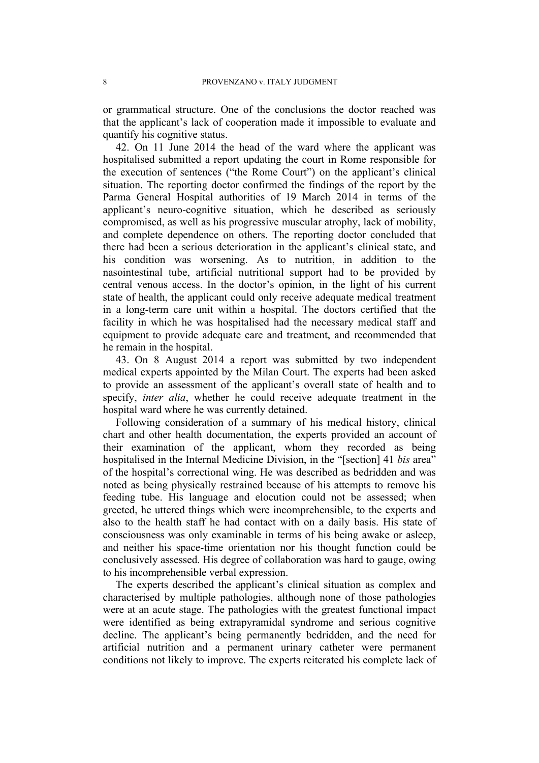or grammatical structure. One of the conclusions the doctor reached was that the applicant's lack of cooperation made it impossible to evaluate and quantify his cognitive status.

42. On 11 June 2014 the head of the ward where the applicant was hospitalised submitted a report updating the court in Rome responsible for the execution of sentences ("the Rome Court") on the applicant's clinical situation. The reporting doctor confirmed the findings of the report by the Parma General Hospital authorities of 19 March 2014 in terms of the applicant's neuro-cognitive situation, which he described as seriously compromised, as well as his progressive muscular atrophy, lack of mobility, and complete dependence on others. The reporting doctor concluded that there had been a serious deterioration in the applicant's clinical state, and his condition was worsening. As to nutrition, in addition to the nasointestinal tube, artificial nutritional support had to be provided by central venous access. In the doctor's opinion, in the light of his current state of health, the applicant could only receive adequate medical treatment in a long-term care unit within a hospital. The doctors certified that the facility in which he was hospitalised had the necessary medical staff and equipment to provide adequate care and treatment, and recommended that he remain in the hospital.

<span id="page-9-0"></span>43. On 8 August 2014 a report was submitted by two independent medical experts appointed by the Milan Court. The experts had been asked to provide an assessment of the applicant's overall state of health and to specify, *inter alia*, whether he could receive adequate treatment in the hospital ward where he was currently detained.

Following consideration of a summary of his medical history, clinical chart and other health documentation, the experts provided an account of their examination of the applicant, whom they recorded as being hospitalised in the Internal Medicine Division, in the "[section] 41 *bis* area" of the hospital's correctional wing. He was described as bedridden and was noted as being physically restrained because of his attempts to remove his feeding tube. His language and elocution could not be assessed; when greeted, he uttered things which were incomprehensible, to the experts and also to the health staff he had contact with on a daily basis. His state of consciousness was only examinable in terms of his being awake or asleep, and neither his space-time orientation nor his thought function could be conclusively assessed. His degree of collaboration was hard to gauge, owing to his incomprehensible verbal expression.

The experts described the applicant's clinical situation as complex and characterised by multiple pathologies, although none of those pathologies were at an acute stage. The pathologies with the greatest functional impact were identified as being extrapyramidal syndrome and serious cognitive decline. The applicant's being permanently bedridden, and the need for artificial nutrition and a permanent urinary catheter were permanent conditions not likely to improve. The experts reiterated his complete lack of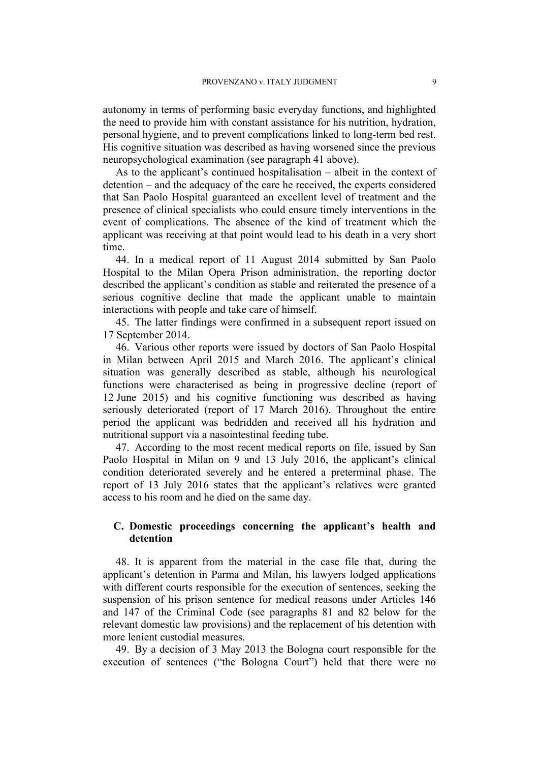autonomy in terms of performing basic everyday functions, and highlighted the need to provide him with constant assistance for his nutrition, hydration, personal hygiene, and to prevent complications linked to long-term bed rest. His cognitive situation was described as having worsened since the previous neuropsychological examination (see paragraph [41](#page-8-0) above).

As to the applicant's continued hospitalisation – albeit in the context of detention – and the adequacy of the care he received, the experts considered that San Paolo Hospital guaranteed an excellent level of treatment and the presence of clinical specialists who could ensure timely interventions in the event of complications. The absence of the kind of treatment which the applicant was receiving at that point would lead to his death in a very short time.

44. In a medical report of 11 August 2014 submitted by San Paolo Hospital to the Milan Opera Prison administration, the reporting doctor described the applicant's condition as stable and reiterated the presence of a serious cognitive decline that made the applicant unable to maintain interactions with people and take care of himself.

<span id="page-10-2"></span>45. The latter findings were confirmed in a subsequent report issued on 17 September 2014.

<span id="page-10-3"></span>46. Various other reports were issued by doctors of San Paolo Hospital in Milan between April 2015 and March 2016. The applicant's clinical situation was generally described as stable, although his neurological functions were characterised as being in progressive decline (report of 12 June 2015) and his cognitive functioning was described as having seriously deteriorated (report of 17 March 2016). Throughout the entire period the applicant was bedridden and received all his hydration and nutritional support via a nasointestinal feeding tube.

<span id="page-10-1"></span>47. According to the most recent medical reports on file, issued by San Paolo Hospital in Milan on 9 and 13 July 2016, the applicant's clinical condition deteriorated severely and he entered a preterminal phase. The report of 13 July 2016 states that the applicant's relatives were granted access to his room and he died on the same day.

# **C. Domestic proceedings concerning the applicant's health and detention**

48. It is apparent from the material in the case file that, during the applicant's detention in Parma and Milan, his lawyers lodged applications with different courts responsible for the execution of sentences, seeking the suspension of his prison sentence for medical reasons under Articles 146 and 147 of the Criminal Code (see paragraphs [81](#page-18-0) and [82](#page-18-1) below for the relevant domestic law provisions) and the replacement of his detention with more lenient custodial measures.

<span id="page-10-0"></span>49. By a decision of 3 May 2013 the Bologna court responsible for the execution of sentences ("the Bologna Court") held that there were no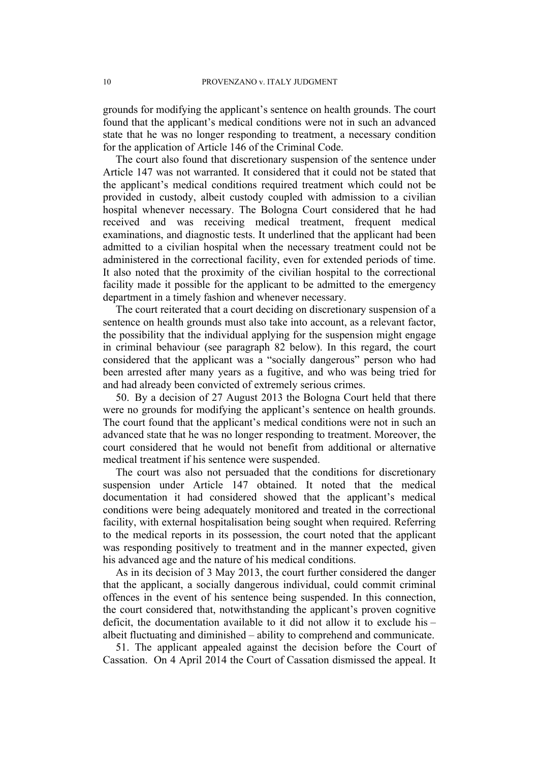grounds for modifying the applicant's sentence on health grounds. The court found that the applicant's medical conditions were not in such an advanced state that he was no longer responding to treatment, a necessary condition for the application of Article 146 of the Criminal Code.

The court also found that discretionary suspension of the sentence under Article 147 was not warranted. It considered that it could not be stated that the applicant's medical conditions required treatment which could not be provided in custody, albeit custody coupled with admission to a civilian hospital whenever necessary. The Bologna Court considered that he had received and was receiving medical treatment, frequent medical examinations, and diagnostic tests. It underlined that the applicant had been admitted to a civilian hospital when the necessary treatment could not be administered in the correctional facility, even for extended periods of time. It also noted that the proximity of the civilian hospital to the correctional facility made it possible for the applicant to be admitted to the emergency department in a timely fashion and whenever necessary.

The court reiterated that a court deciding on discretionary suspension of a sentence on health grounds must also take into account, as a relevant factor, the possibility that the individual applying for the suspension might engage in criminal behaviour (see paragraph [82](#page-18-1) below). In this regard, the court considered that the applicant was a "socially dangerous" person who had been arrested after many years as a fugitive, and who was being tried for and had already been convicted of extremely serious crimes.

50. By a decision of 27 August 2013 the Bologna Court held that there were no grounds for modifying the applicant's sentence on health grounds. The court found that the applicant's medical conditions were not in such an advanced state that he was no longer responding to treatment. Moreover, the court considered that he would not benefit from additional or alternative medical treatment if his sentence were suspended.

The court was also not persuaded that the conditions for discretionary suspension under Article 147 obtained. It noted that the medical documentation it had considered showed that the applicant's medical conditions were being adequately monitored and treated in the correctional facility, with external hospitalisation being sought when required. Referring to the medical reports in its possession, the court noted that the applicant was responding positively to treatment and in the manner expected, given his advanced age and the nature of his medical conditions.

As in its decision of 3 May 2013, the court further considered the danger that the applicant, a socially dangerous individual, could commit criminal offences in the event of his sentence being suspended. In this connection, the court considered that, notwithstanding the applicant's proven cognitive deficit, the documentation available to it did not allow it to exclude his – albeit fluctuating and diminished – ability to comprehend and communicate.

<span id="page-11-0"></span>51. The applicant appealed against the decision before the Court of Cassation. On 4 April 2014 the Court of Cassation dismissed the appeal. It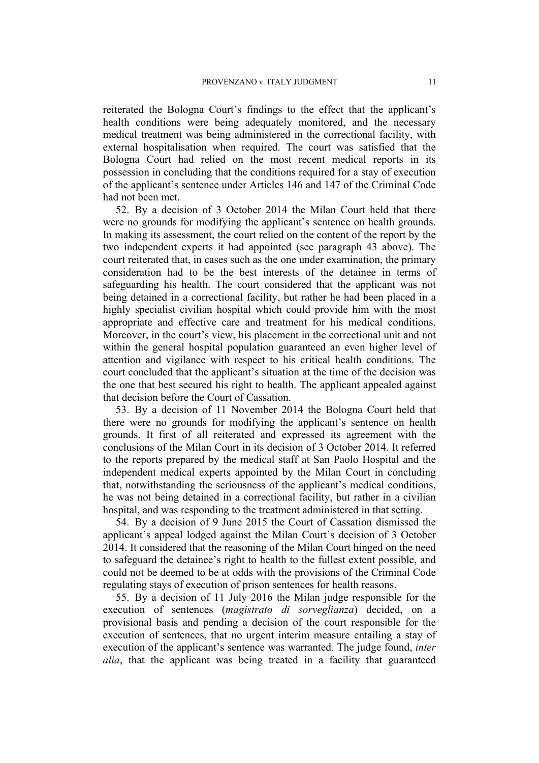reiterated the Bologna Court's findings to the effect that the applicant's health conditions were being adequately monitored, and the necessary medical treatment was being administered in the correctional facility, with external hospitalisation when required. The court was satisfied that the Bologna Court had relied on the most recent medical reports in its possession in concluding that the conditions required for a stay of execution of the applicant's sentence under Articles 146 and 147 of the Criminal Code had not been met.

<span id="page-12-2"></span>52. By a decision of 3 October 2014 the Milan Court held that there were no grounds for modifying the applicant's sentence on health grounds. In making its assessment, the court relied on the content of the report by the two independent experts it had appointed (see paragraph [43](#page-9-0) above). The court reiterated that, in cases such as the one under examination, the primary consideration had to be the best interests of the detainee in terms of safeguarding his health. The court considered that the applicant was not being detained in a correctional facility, but rather he had been placed in a highly specialist civilian hospital which could provide him with the most appropriate and effective care and treatment for his medical conditions. Moreover, in the court's view, his placement in the correctional unit and not within the general hospital population guaranteed an even higher level of attention and vigilance with respect to his critical health conditions. The court concluded that the applicant's situation at the time of the decision was the one that best secured his right to health. The applicant appealed against that decision before the Court of Cassation.

53. By a decision of 11 November 2014 the Bologna Court held that there were no grounds for modifying the applicant's sentence on health grounds. It first of all reiterated and expressed its agreement with the conclusions of the Milan Court in its decision of 3 October 2014. It referred to the reports prepared by the medical staff at San Paolo Hospital and the independent medical experts appointed by the Milan Court in concluding that, notwithstanding the seriousness of the applicant's medical conditions, he was not being detained in a correctional facility, but rather in a civilian hospital, and was responding to the treatment administered in that setting.

<span id="page-12-0"></span>54. By a decision of 9 June 2015 the Court of Cassation dismissed the applicant's appeal lodged against the Milan Court's decision of 3 October 2014. It considered that the reasoning of the Milan Court hinged on the need to safeguard the detainee's right to health to the fullest extent possible, and could not be deemed to be at odds with the provisions of the Criminal Code regulating stays of execution of prison sentences for health reasons.

<span id="page-12-1"></span>55. By a decision of 11 July 2016 the Milan judge responsible for the execution of sentences (*magistrato di sorveglianza*) decided, on a provisional basis and pending a decision of the court responsible for the execution of sentences, that no urgent interim measure entailing a stay of execution of the applicant's sentence was warranted. The judge found, *inter alia*, that the applicant was being treated in a facility that guaranteed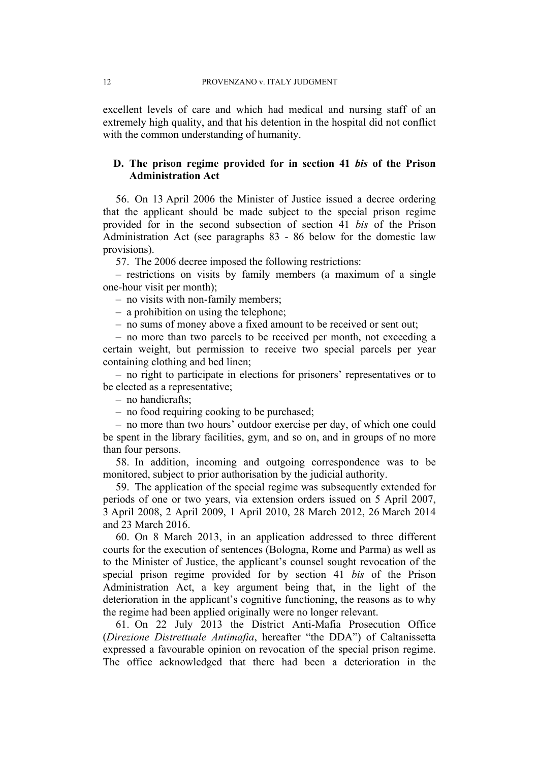excellent levels of care and which had medical and nursing staff of an extremely high quality, and that his detention in the hospital did not conflict with the common understanding of humanity.

# **D. The prison regime provided for in section 41** *bis* **of the Prison Administration Act**

56. On 13 April 2006 the Minister of Justice issued a decree ordering that the applicant should be made subject to the special prison regime provided for in the second subsection of section 41 *bis* of the Prison Administration Act (see paragraphs [83](#page-18-2) - [86](#page-19-0) below for the domestic law provisions).

<span id="page-13-0"></span>57. The 2006 decree imposed the following restrictions:

– restrictions on visits by family members (a maximum of a single one-hour visit per month);

– no visits with non-family members;

– a prohibition on using the telephone;

– no sums of money above a fixed amount to be received or sent out;

– no more than two parcels to be received per month, not exceeding a certain weight, but permission to receive two special parcels per year containing clothing and bed linen;

– no right to participate in elections for prisoners' representatives or to be elected as a representative;

– no handicrafts;

– no food requiring cooking to be purchased;

– no more than two hours' outdoor exercise per day, of which one could be spent in the library facilities, gym, and so on, and in groups of no more than four persons.

58. In addition, incoming and outgoing correspondence was to be monitored, subject to prior authorisation by the judicial authority.

<span id="page-13-1"></span>59. The application of the special regime was subsequently extended for periods of one or two years, via extension orders issued on 5 April 2007, 3 April 2008, 2 April 2009, 1 April 2010, 28 March 2012, 26 March 2014 and 23 March 2016.

60. On 8 March 2013, in an application addressed to three different courts for the execution of sentences (Bologna, Rome and Parma) as well as to the Minister of Justice, the applicant's counsel sought revocation of the special prison regime provided for by section 41 *bis* of the Prison Administration Act, a key argument being that, in the light of the deterioration in the applicant's cognitive functioning, the reasons as to why the regime had been applied originally were no longer relevant.

61. On 22 July 2013 the District Anti-Mafia Prosecution Office (*Direzione Distrettuale Antimafia*, hereafter "the DDA") of Caltanissetta expressed a favourable opinion on revocation of the special prison regime. The office acknowledged that there had been a deterioration in the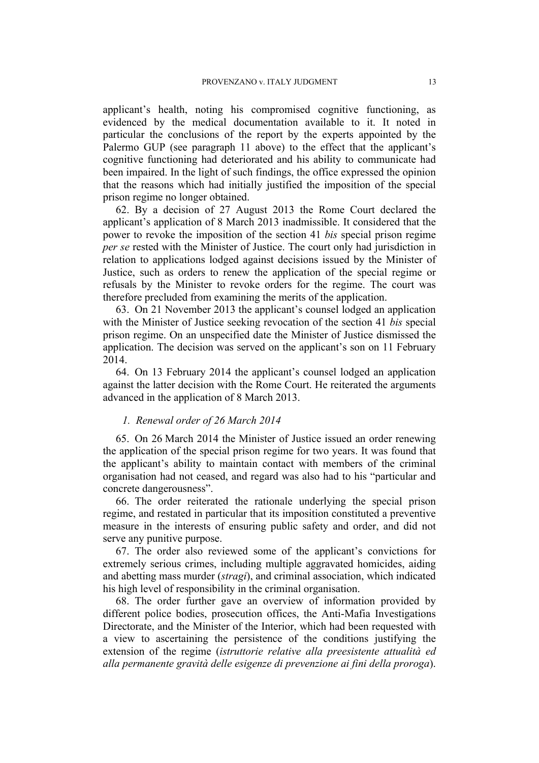applicant's health, noting his compromised cognitive functioning, as evidenced by the medical documentation available to it. It noted in particular the conclusions of the report by the experts appointed by the Palermo GUP (see paragraph [11](#page-3-0) above) to the effect that the applicant's cognitive functioning had deteriorated and his ability to communicate had been impaired. In the light of such findings, the office expressed the opinion that the reasons which had initially justified the imposition of the special prison regime no longer obtained.

62. By a decision of 27 August 2013 the Rome Court declared the applicant's application of 8 March 2013 inadmissible. It considered that the power to revoke the imposition of the section 41 *bis* special prison regime *per se* rested with the Minister of Justice. The court only had jurisdiction in relation to applications lodged against decisions issued by the Minister of Justice, such as orders to renew the application of the special regime or refusals by the Minister to revoke orders for the regime. The court was therefore precluded from examining the merits of the application.

63. On 21 November 2013 the applicant's counsel lodged an application with the Minister of Justice seeking revocation of the section 41 *bis* special prison regime. On an unspecified date the Minister of Justice dismissed the application. The decision was served on the applicant's son on 11 February 2014.

64. On 13 February 2014 the applicant's counsel lodged an application against the latter decision with the Rome Court. He reiterated the arguments advanced in the application of 8 March 2013.

### *1. Renewal order of 26 March 2014*

<span id="page-14-0"></span>65. On 26 March 2014 the Minister of Justice issued an order renewing the application of the special prison regime for two years. It was found that the applicant's ability to maintain contact with members of the criminal organisation had not ceased, and regard was also had to his "particular and concrete dangerousness".

66. The order reiterated the rationale underlying the special prison regime, and restated in particular that its imposition constituted a preventive measure in the interests of ensuring public safety and order, and did not serve any punitive purpose.

67. The order also reviewed some of the applicant's convictions for extremely serious crimes, including multiple aggravated homicides, aiding and abetting mass murder (*stragi*), and criminal association, which indicated his high level of responsibility in the criminal organisation.

68. The order further gave an overview of information provided by different police bodies, prosecution offices, the Anti-Mafia Investigations Directorate, and the Minister of the Interior, which had been requested with a view to ascertaining the persistence of the conditions justifying the extension of the regime (*istruttorie relative alla preesistente attualità ed alla permanente gravità delle esigenze di prevenzione ai fini della proroga*).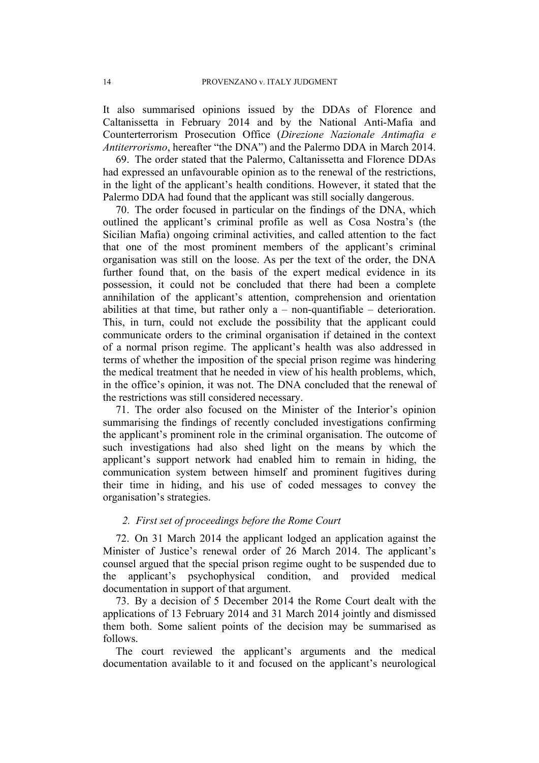It also summarised opinions issued by the DDAs of Florence and Caltanissetta in February 2014 and by the National Anti-Mafia and Counterterrorism Prosecution Office (*Direzione Nazionale Antimafia e Antiterrorismo*, hereafter "the DNA") and the Palermo DDA in March 2014.

<span id="page-15-2"></span>69. The order stated that the Palermo, Caltanissetta and Florence DDAs had expressed an unfavourable opinion as to the renewal of the restrictions, in the light of the applicant's health conditions. However, it stated that the Palermo DDA had found that the applicant was still socially dangerous.

<span id="page-15-3"></span>70. The order focused in particular on the findings of the DNA, which outlined the applicant's criminal profile as well as Cosa Nostra's (the Sicilian Mafia) ongoing criminal activities, and called attention to the fact that one of the most prominent members of the applicant's criminal organisation was still on the loose. As per the text of the order, the DNA further found that, on the basis of the expert medical evidence in its possession, it could not be concluded that there had been a complete annihilation of the applicant's attention, comprehension and orientation abilities at that time, but rather only  $a$  – non-quantifiable – deterioration. This, in turn, could not exclude the possibility that the applicant could communicate orders to the criminal organisation if detained in the context of a normal prison regime. The applicant's health was also addressed in terms of whether the imposition of the special prison regime was hindering the medical treatment that he needed in view of his health problems, which, in the office's opinion, it was not. The DNA concluded that the renewal of the restrictions was still considered necessary.

<span id="page-15-1"></span>71. The order also focused on the Minister of the Interior's opinion summarising the findings of recently concluded investigations confirming the applicant's prominent role in the criminal organisation. The outcome of such investigations had also shed light on the means by which the applicant's support network had enabled him to remain in hiding, the communication system between himself and prominent fugitives during their time in hiding, and his use of coded messages to convey the organisation's strategies.

## *2. First set of proceedings before the Rome Court*

72. On 31 March 2014 the applicant lodged an application against the Minister of Justice's renewal order of 26 March 2014. The applicant's counsel argued that the special prison regime ought to be suspended due to the applicant's psychophysical condition, and provided medical documentation in support of that argument.

<span id="page-15-0"></span>73. By a decision of 5 December 2014 the Rome Court dealt with the applications of 13 February 2014 and 31 March 2014 jointly and dismissed them both. Some salient points of the decision may be summarised as follows.

The court reviewed the applicant's arguments and the medical documentation available to it and focused on the applicant's neurological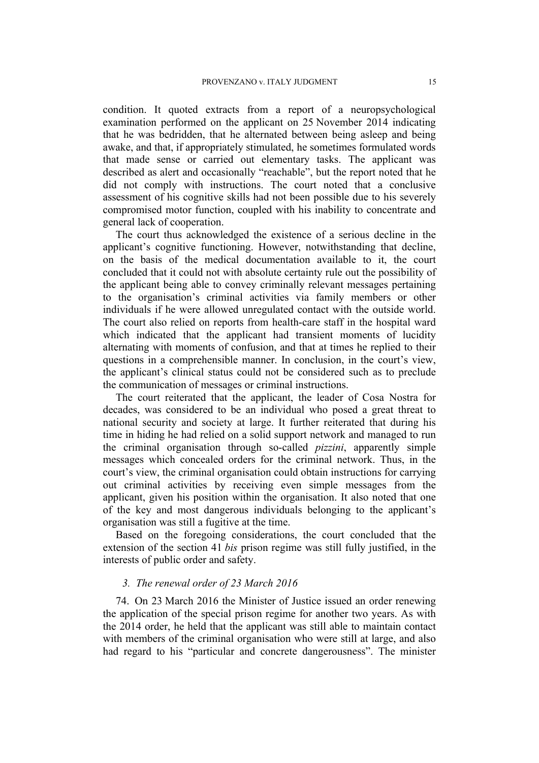condition. It quoted extracts from a report of a neuropsychological examination performed on the applicant on 25 November 2014 indicating that he was bedridden, that he alternated between being asleep and being awake, and that, if appropriately stimulated, he sometimes formulated words that made sense or carried out elementary tasks. The applicant was described as alert and occasionally "reachable", but the report noted that he did not comply with instructions. The court noted that a conclusive assessment of his cognitive skills had not been possible due to his severely compromised motor function, coupled with his inability to concentrate and general lack of cooperation.

The court thus acknowledged the existence of a serious decline in the applicant's cognitive functioning. However, notwithstanding that decline, on the basis of the medical documentation available to it, the court concluded that it could not with absolute certainty rule out the possibility of the applicant being able to convey criminally relevant messages pertaining to the organisation's criminal activities via family members or other individuals if he were allowed unregulated contact with the outside world. The court also relied on reports from health-care staff in the hospital ward which indicated that the applicant had transient moments of lucidity alternating with moments of confusion, and that at times he replied to their questions in a comprehensible manner. In conclusion, in the court's view, the applicant's clinical status could not be considered such as to preclude the communication of messages or criminal instructions.

The court reiterated that the applicant, the leader of Cosa Nostra for decades, was considered to be an individual who posed a great threat to national security and society at large. It further reiterated that during his time in hiding he had relied on a solid support network and managed to run the criminal organisation through so-called *pizzini*, apparently simple messages which concealed orders for the criminal network. Thus, in the court's view, the criminal organisation could obtain instructions for carrying out criminal activities by receiving even simple messages from the applicant, given his position within the organisation. It also noted that one of the key and most dangerous individuals belonging to the applicant's organisation was still a fugitive at the time.

Based on the foregoing considerations, the court concluded that the extension of the section 41 *bis* prison regime was still fully justified, in the interests of public order and safety.

### *3. The renewal order of 23 March 2016*

<span id="page-16-0"></span>74. On 23 March 2016 the Minister of Justice issued an order renewing the application of the special prison regime for another two years. As with the 2014 order, he held that the applicant was still able to maintain contact with members of the criminal organisation who were still at large, and also had regard to his "particular and concrete dangerousness". The minister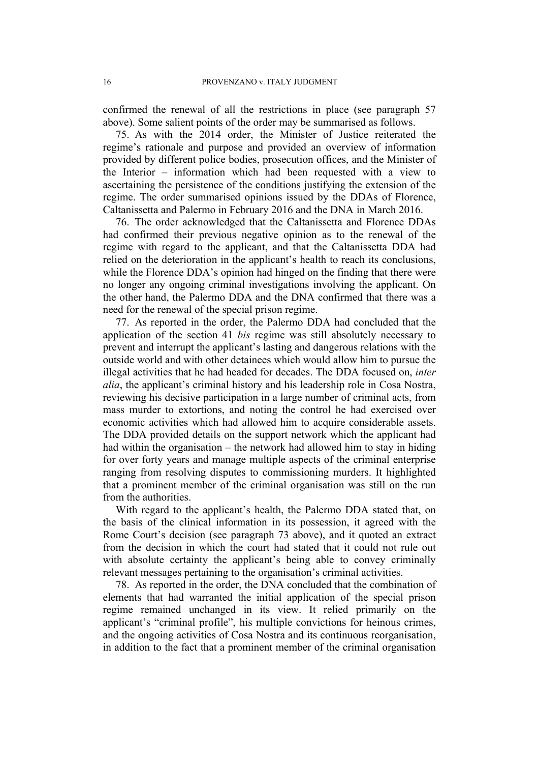confirmed the renewal of all the restrictions in place (see paragraph [57](#page-13-0) above). Some salient points of the order may be summarised as follows.

75. As with the 2014 order, the Minister of Justice reiterated the regime's rationale and purpose and provided an overview of information provided by different police bodies, prosecution offices, and the Minister of the Interior – information which had been requested with a view to ascertaining the persistence of the conditions justifying the extension of the regime. The order summarised opinions issued by the DDAs of Florence, Caltanissetta and Palermo in February 2016 and the DNA in March 2016.

76. The order acknowledged that the Caltanissetta and Florence DDAs had confirmed their previous negative opinion as to the renewal of the regime with regard to the applicant, and that the Caltanissetta DDA had relied on the deterioration in the applicant's health to reach its conclusions, while the Florence DDA's opinion had hinged on the finding that there were no longer any ongoing criminal investigations involving the applicant. On the other hand, the Palermo DDA and the DNA confirmed that there was a need for the renewal of the special prison regime.

<span id="page-17-1"></span>77. As reported in the order, the Palermo DDA had concluded that the application of the section 41 *bis* regime was still absolutely necessary to prevent and interrupt the applicant's lasting and dangerous relations with the outside world and with other detainees which would allow him to pursue the illegal activities that he had headed for decades. The DDA focused on, *inter alia*, the applicant's criminal history and his leadership role in Cosa Nostra, reviewing his decisive participation in a large number of criminal acts, from mass murder to extortions, and noting the control he had exercised over economic activities which had allowed him to acquire considerable assets. The DDA provided details on the support network which the applicant had had within the organisation – the network had allowed him to stay in hiding for over forty years and manage multiple aspects of the criminal enterprise ranging from resolving disputes to commissioning murders. It highlighted that a prominent member of the criminal organisation was still on the run from the authorities.

With regard to the applicant's health, the Palermo DDA stated that, on the basis of the clinical information in its possession, it agreed with the Rome Court's decision (see paragraph [73](#page-15-0) above), and it quoted an extract from the decision in which the court had stated that it could not rule out with absolute certainty the applicant's being able to convey criminally relevant messages pertaining to the organisation's criminal activities.

<span id="page-17-0"></span>78. As reported in the order, the DNA concluded that the combination of elements that had warranted the initial application of the special prison regime remained unchanged in its view. It relied primarily on the applicant's "criminal profile", his multiple convictions for heinous crimes, and the ongoing activities of Cosa Nostra and its continuous reorganisation, in addition to the fact that a prominent member of the criminal organisation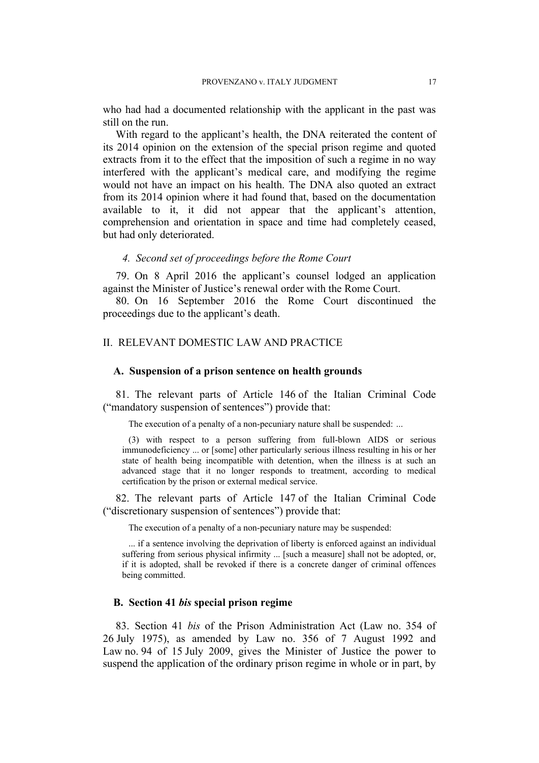who had had a documented relationship with the applicant in the past was still on the run.

With regard to the applicant's health, the DNA reiterated the content of its 2014 opinion on the extension of the special prison regime and quoted extracts from it to the effect that the imposition of such a regime in no way interfered with the applicant's medical care, and modifying the regime would not have an impact on his health. The DNA also quoted an extract from its 2014 opinion where it had found that, based on the documentation available to it, it did not appear that the applicant's attention, comprehension and orientation in space and time had completely ceased, but had only deteriorated.

#### *4. Second set of proceedings before the Rome Court*

79. On 8 April 2016 the applicant's counsel lodged an application against the Minister of Justice's renewal order with the Rome Court.

<span id="page-18-3"></span>80. On 16 September 2016 the Rome Court discontinued the proceedings due to the applicant's death.

## II. RELEVANT DOMESTIC LAW AND PRACTICE

#### **A. Suspension of a prison sentence on health grounds**

<span id="page-18-0"></span>81. The relevant parts of Article 146 of the Italian Criminal Code ("mandatory suspension of sentences") provide that:

The execution of a penalty of a non-pecuniary nature shall be suspended: ...

(3) with respect to a person suffering from full-blown AIDS or serious immunodeficiency ... or [some] other particularly serious illness resulting in his or her state of health being incompatible with detention, when the illness is at such an advanced stage that it no longer responds to treatment, according to medical certification by the prison or external medical service.

<span id="page-18-1"></span>82. The relevant parts of Article 147 of the Italian Criminal Code ("discretionary suspension of sentences") provide that:

The execution of a penalty of a non-pecuniary nature may be suspended:

... if a sentence involving the deprivation of liberty is enforced against an individual suffering from serious physical infirmity ... [such a measure] shall not be adopted, or, if it is adopted, shall be revoked if there is a concrete danger of criminal offences being committed.

# **B. Section 41** *bis* **special prison regime**

<span id="page-18-2"></span>83. Section 41 *bis* of the Prison Administration Act (Law no. 354 of 26 July 1975), as amended by Law no. 356 of 7 August 1992 and Law no. 94 of 15 July 2009, gives the Minister of Justice the power to suspend the application of the ordinary prison regime in whole or in part, by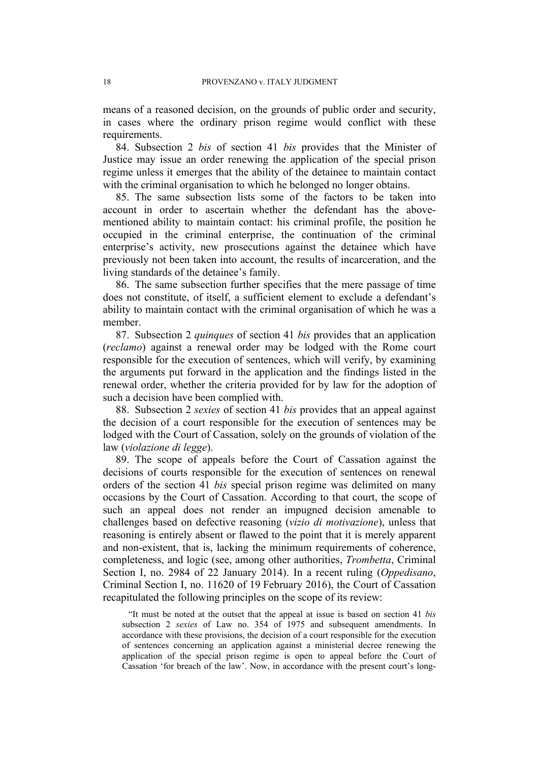means of a reasoned decision, on the grounds of public order and security, in cases where the ordinary prison regime would conflict with these requirements.

84. Subsection 2 *bis* of section 41 *bis* provides that the Minister of Justice may issue an order renewing the application of the special prison regime unless it emerges that the ability of the detainee to maintain contact with the criminal organisation to which he belonged no longer obtains.

85. The same subsection lists some of the factors to be taken into account in order to ascertain whether the defendant has the abovementioned ability to maintain contact: his criminal profile, the position he occupied in the criminal enterprise, the continuation of the criminal enterprise's activity, new prosecutions against the detainee which have previously not been taken into account, the results of incarceration, and the living standards of the detainee's family.

<span id="page-19-0"></span>86. The same subsection further specifies that the mere passage of time does not constitute, of itself, a sufficient element to exclude a defendant's ability to maintain contact with the criminal organisation of which he was a member.

87. Subsection 2 *quinques* of section 41 *bis* provides that an application (*reclamo*) against a renewal order may be lodged with the Rome court responsible for the execution of sentences, which will verify, by examining the arguments put forward in the application and the findings listed in the renewal order, whether the criteria provided for by law for the adoption of such a decision have been complied with.

<span id="page-19-1"></span>88. Subsection 2 *sexies* of section 41 *bis* provides that an appeal against the decision of a court responsible for the execution of sentences may be lodged with the Court of Cassation, solely on the grounds of violation of the law (*violazione di legge*).

<span id="page-19-2"></span>89. The scope of appeals before the Court of Cassation against the decisions of courts responsible for the execution of sentences on renewal orders of the section 41 *bis* special prison regime was delimited on many occasions by the Court of Cassation. According to that court, the scope of such an appeal does not render an impugned decision amenable to challenges based on defective reasoning (*vizio di motivazione*), unless that reasoning is entirely absent or flawed to the point that it is merely apparent and non-existent, that is, lacking the minimum requirements of coherence, completeness, and logic (see, among other authorities, *Trombetta*, Criminal Section I, no. 2984 of 22 January 2014). In a recent ruling (*Oppedisano*, Criminal Section I, no. 11620 of 19 February 2016), the Court of Cassation recapitulated the following principles on the scope of its review:

"It must be noted at the outset that the appeal at issue is based on section 41 *bis* subsection 2 *sexies* of Law no. 354 of 1975 and subsequent amendments. In accordance with these provisions, the decision of a court responsible for the execution of sentences concerning an application against a ministerial decree renewing the application of the special prison regime is open to appeal before the Court of Cassation 'for breach of the law'. Now, in accordance with the present court's long-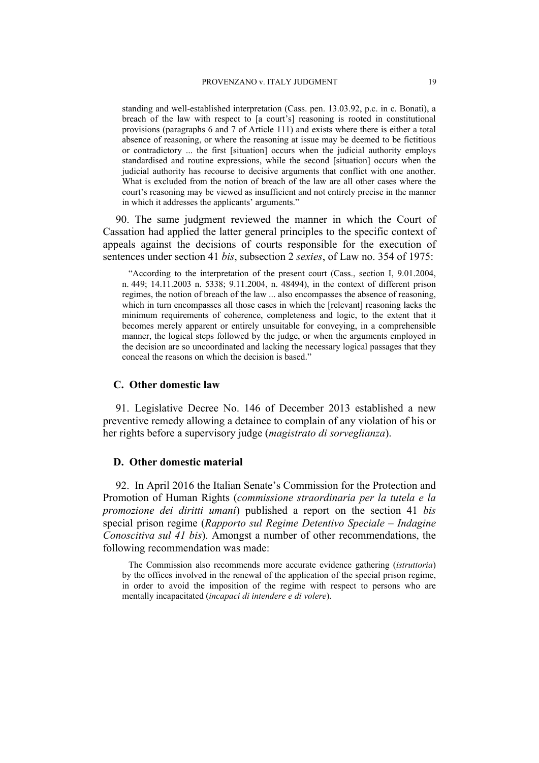standing and well-established interpretation (Cass. pen. 13.03.92, p.c. in c. Bonati), a breach of the law with respect to [a court's] reasoning is rooted in constitutional provisions (paragraphs 6 and 7 of Article 111) and exists where there is either a total absence of reasoning, or where the reasoning at issue may be deemed to be fictitious or contradictory ... the first [situation] occurs when the judicial authority employs standardised and routine expressions, while the second [situation] occurs when the judicial authority has recourse to decisive arguments that conflict with one another. What is excluded from the notion of breach of the law are all other cases where the court's reasoning may be viewed as insufficient and not entirely precise in the manner in which it addresses the applicants' arguments."

90. The same judgment reviewed the manner in which the Court of Cassation had applied the latter general principles to the specific context of appeals against the decisions of courts responsible for the execution of sentences under section 41 *bis*, subsection 2 *sexies*, of Law no. 354 of 1975:

"According to the interpretation of the present court (Cass., section I, 9.01.2004, n. 449; 14.11.2003 n. 5338; 9.11.2004, n. 48494), in the context of different prison regimes, the notion of breach of the law ... also encompasses the absence of reasoning, which in turn encompasses all those cases in which the [relevant] reasoning lacks the minimum requirements of coherence, completeness and logic, to the extent that it becomes merely apparent or entirely unsuitable for conveying, in a comprehensible manner, the logical steps followed by the judge, or when the arguments employed in the decision are so uncoordinated and lacking the necessary logical passages that they conceal the reasons on which the decision is based."

#### **C. Other domestic law**

<span id="page-20-0"></span>91. Legislative Decree No. 146 of December 2013 established a new preventive remedy allowing a detainee to complain of any violation of his or her rights before a supervisory judge (*magistrato di sorveglianza*).

# **D. Other domestic material**

92. In April 2016 the Italian Senate's Commission for the Protection and Promotion of Human Rights (*commissione straordinaria per la tutela e la promozione dei diritti umani*) published a report on the section 41 *bis* special prison regime (*Rapporto sul Regime Detentivo Speciale – Indagine Conoscitiva sul 41 bis*). Amongst a number of other recommendations, the following recommendation was made:

The Commission also recommends more accurate evidence gathering (*istruttoria*) by the offices involved in the renewal of the application of the special prison regime, in order to avoid the imposition of the regime with respect to persons who are mentally incapacitated (*incapaci di intendere e di volere*).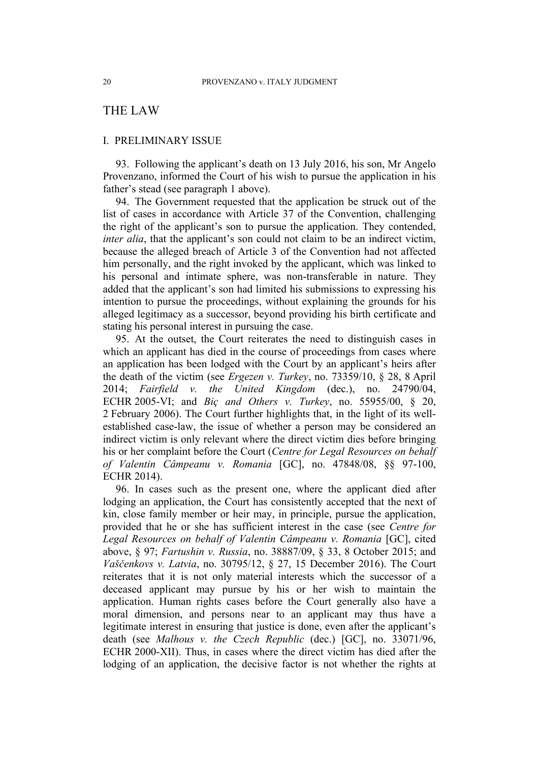# THE LAW

## I. PRELIMINARY ISSUE

93. Following the applicant's death on 13 July 2016, his son, Mr Angelo Provenzano, informed the Court of his wish to pursue the application in his father's stead (see paragraph 1 above).

94. The Government requested that the application be struck out of the list of cases in accordance with Article 37 of the Convention, challenging the right of the applicant's son to pursue the application. They contended, *inter alia*, that the applicant's son could not claim to be an indirect victim, because the alleged breach of Article 3 of the Convention had not affected him personally, and the right invoked by the applicant, which was linked to his personal and intimate sphere, was non-transferable in nature. They added that the applicant's son had limited his submissions to expressing his intention to pursue the proceedings, without explaining the grounds for his alleged legitimacy as a successor, beyond providing his birth certificate and stating his personal interest in pursuing the case.

95. At the outset, the Court reiterates the need to distinguish cases in which an applicant has died in the course of proceedings from cases where an application has been lodged with the Court by an applicant's heirs after the death of the victim (see *Ergezen v. Turkey*, no. 73359/10, § 28, 8 April 2014; *Fairfield v. the United Kingdom* (dec.), no. 24790/04, ECHR 2005-VI; and *Biç and Others v. Turkey*, no. 55955/00, § 20, 2 February 2006). The Court further highlights that, in the light of its wellestablished case-law, the issue of whether a person may be considered an indirect victim is only relevant where the direct victim dies before bringing his or her complaint before the Court (*Centre for Legal Resources on behalf of Valentin Câmpeanu v. Romania* [GC], no. 47848/08, §§ 97-100, ECHR 2014).

96. In cases such as the present one, where the applicant died after lodging an application, the Court has consistently accepted that the next of kin, close family member or heir may, in principle, pursue the application, provided that he or she has sufficient interest in the case (see *Centre for Legal Resources on behalf of Valentin Câmpeanu v. Romania* [GC], cited above, § 97; *Fartushin v. Russia*, no. 38887/09, § 33, 8 October 2015; and *Vaščenkovs v. Latvia*, no. 30795/12, § 27, 15 December 2016). The Court reiterates that it is not only material interests which the successor of a deceased applicant may pursue by his or her wish to maintain the application. Human rights cases before the Court generally also have a moral dimension, and persons near to an applicant may thus have a legitimate interest in ensuring that justice is done, even after the applicant's death (see *Malhous v. the Czech Republic* (dec.) [GC], no. 33071/96, ECHR 2000-XII). Thus, in cases where the direct victim has died after the lodging of an application, the decisive factor is not whether the rights at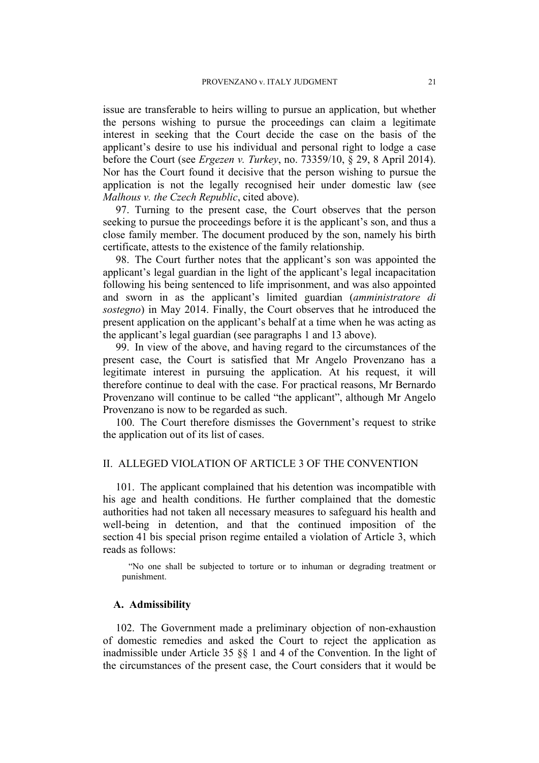issue are transferable to heirs willing to pursue an application, but whether the persons wishing to pursue the proceedings can claim a legitimate interest in seeking that the Court decide the case on the basis of the applicant's desire to use his individual and personal right to lodge a case before the Court (see *Ergezen v. Turkey*, no. 73359/10, § 29, 8 April 2014). Nor has the Court found it decisive that the person wishing to pursue the application is not the legally recognised heir under domestic law (see *Malhous v. the Czech Republic*, cited above).

97. Turning to the present case, the Court observes that the person seeking to pursue the proceedings before it is the applicant's son, and thus a close family member. The document produced by the son, namely his birth certificate, attests to the existence of the family relationship.

98. The Court further notes that the applicant's son was appointed the applicant's legal guardian in the light of the applicant's legal incapacitation following his being sentenced to life imprisonment, and was also appointed and sworn in as the applicant's limited guardian (*amministratore di sostegno*) in May 2014. Finally, the Court observes that he introduced the present application on the applicant's behalf at a time when he was acting as the applicant's legal guardian (see paragraphs 1 and 13 above).

99. In view of the above, and having regard to the circumstances of the present case, the Court is satisfied that Mr Angelo Provenzano has a legitimate interest in pursuing the application. At his request, it will therefore continue to deal with the case. For practical reasons, Mr Bernardo Provenzano will continue to be called "the applicant", although Mr Angelo Provenzano is now to be regarded as such.

100. The Court therefore dismisses the Government's request to strike the application out of its list of cases.

# II. ALLEGED VIOLATION OF ARTICLE 3 OF THE CONVENTION

101. The applicant complained that his detention was incompatible with his age and health conditions. He further complained that the domestic authorities had not taken all necessary measures to safeguard his health and well-being in detention, and that the continued imposition of the section 41 bis special prison regime entailed a violation of Article 3, which reads as follows:

"No one shall be subjected to torture or to inhuman or degrading treatment or punishment.

#### **A. Admissibility**

102. The Government made a preliminary objection of non-exhaustion of domestic remedies and asked the Court to reject the application as inadmissible under Article 35 §§ 1 and 4 of the Convention. In the light of the circumstances of the present case, the Court considers that it would be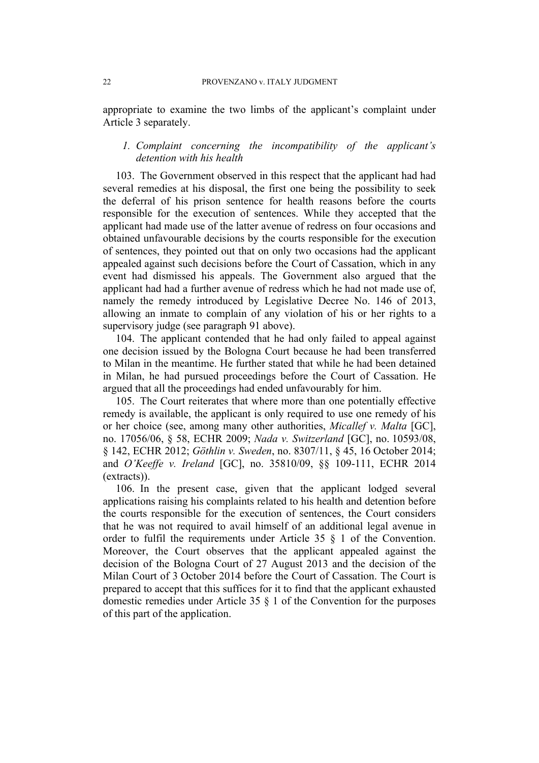appropriate to examine the two limbs of the applicant's complaint under Article 3 separately.

# *1. Complaint concerning the incompatibility of the applicant's detention with his health*

103. The Government observed in this respect that the applicant had had several remedies at his disposal, the first one being the possibility to seek the deferral of his prison sentence for health reasons before the courts responsible for the execution of sentences. While they accepted that the applicant had made use of the latter avenue of redress on four occasions and obtained unfavourable decisions by the courts responsible for the execution of sentences, they pointed out that on only two occasions had the applicant appealed against such decisions before the Court of Cassation, which in any event had dismissed his appeals. The Government also argued that the applicant had had a further avenue of redress which he had not made use of, namely the remedy introduced by Legislative Decree No. 146 of 2013, allowing an inmate to complain of any violation of his or her rights to a supervisory judge (see paragraph [91](#page-20-0) above).

104. The applicant contended that he had only failed to appeal against one decision issued by the Bologna Court because he had been transferred to Milan in the meantime. He further stated that while he had been detained in Milan, he had pursued proceedings before the Court of Cassation. He argued that all the proceedings had ended unfavourably for him.

105. The Court reiterates that where more than one potentially effective remedy is available, the applicant is only required to use one remedy of his or her choice (see, among many other authorities, *Micallef v. Malta* [GC], no. 17056/06, § 58, ECHR 2009; *Nada v. Switzerland* [GC], no. 10593/08, § 142, ECHR 2012; *Göthlin v. Sweden*, no. 8307/11, § 45, 16 October 2014; and *O'Keeffe v. Ireland* [GC], no. 35810/09, §§ 109-111, ECHR 2014 (extracts)).

106. In the present case, given that the applicant lodged several applications raising his complaints related to his health and detention before the courts responsible for the execution of sentences, the Court considers that he was not required to avail himself of an additional legal avenue in order to fulfil the requirements under Article 35 § 1 of the Convention. Moreover, the Court observes that the applicant appealed against the decision of the Bologna Court of 27 August 2013 and the decision of the Milan Court of 3 October 2014 before the Court of Cassation. The Court is prepared to accept that this suffices for it to find that the applicant exhausted domestic remedies under Article 35 § 1 of the Convention for the purposes of this part of the application.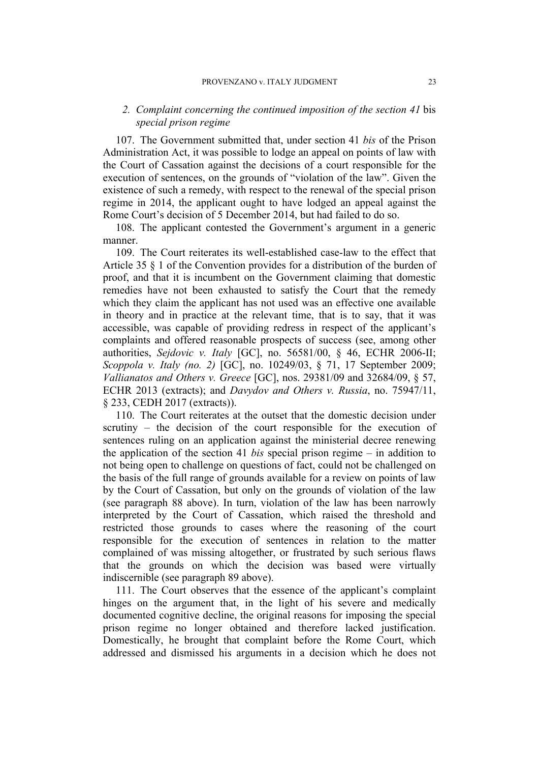# *2. Complaint concerning the continued imposition of the section 41* bis *special prison regime*

107. The Government submitted that, under section 41 *bis* of the Prison Administration Act, it was possible to lodge an appeal on points of law with the Court of Cassation against the decisions of a court responsible for the execution of sentences, on the grounds of "violation of the law". Given the existence of such a remedy, with respect to the renewal of the special prison regime in 2014, the applicant ought to have lodged an appeal against the Rome Court's decision of 5 December 2014, but had failed to do so.

108. The applicant contested the Government's argument in a generic manner.

109. The Court reiterates its well-established case-law to the effect that Article 35 § 1 of the Convention provides for a distribution of the burden of proof, and that it is incumbent on the Government claiming that domestic remedies have not been exhausted to satisfy the Court that the remedy which they claim the applicant has not used was an effective one available in theory and in practice at the relevant time, that is to say, that it was accessible, was capable of providing redress in respect of the applicant's complaints and offered reasonable prospects of success (see, among other authorities, *Sejdovic v. Italy* [GC], no. 56581/00, § 46, ECHR 2006-II; *Scoppola v. Italy (no. 2)* [GC], no. 10249/03, § 71, 17 September 2009; *Vallianatos and Others v. Greece* [GC], nos. 29381/09 and 32684/09, § 57, ECHR 2013 (extracts); and *Davydov and Others v. Russia*, no. 75947/11, § 233, CEDH 2017 (extracts)).

110. The Court reiterates at the outset that the domestic decision under scrutiny – the decision of the court responsible for the execution of sentences ruling on an application against the ministerial decree renewing the application of the section 41 *bis* special prison regime – in addition to not being open to challenge on questions of fact, could not be challenged on the basis of the full range of grounds available for a review on points of law by the Court of Cassation, but only on the grounds of violation of the law (see paragraph [88](#page-19-1) above). In turn, violation of the law has been narrowly interpreted by the Court of Cassation, which raised the threshold and restricted those grounds to cases where the reasoning of the court responsible for the execution of sentences in relation to the matter complained of was missing altogether, or frustrated by such serious flaws that the grounds on which the decision was based were virtually indiscernible (see paragraph [89](#page-19-2) above).

111. The Court observes that the essence of the applicant's complaint hinges on the argument that, in the light of his severe and medically documented cognitive decline, the original reasons for imposing the special prison regime no longer obtained and therefore lacked justification. Domestically, he brought that complaint before the Rome Court, which addressed and dismissed his arguments in a decision which he does not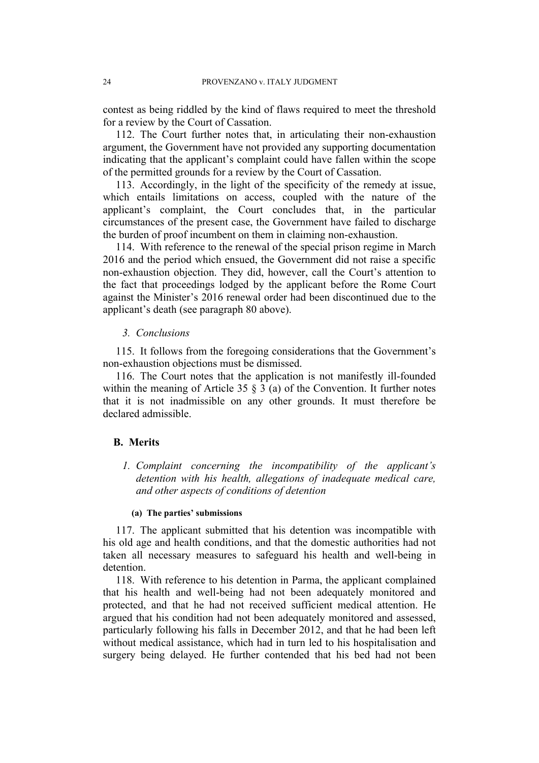contest as being riddled by the kind of flaws required to meet the threshold for a review by the Court of Cassation.

112. The Court further notes that, in articulating their non-exhaustion argument, the Government have not provided any supporting documentation indicating that the applicant's complaint could have fallen within the scope of the permitted grounds for a review by the Court of Cassation.

113. Accordingly, in the light of the specificity of the remedy at issue, which entails limitations on access, coupled with the nature of the applicant's complaint, the Court concludes that, in the particular circumstances of the present case, the Government have failed to discharge the burden of proof incumbent on them in claiming non-exhaustion.

114. With reference to the renewal of the special prison regime in March 2016 and the period which ensued, the Government did not raise a specific non-exhaustion objection. They did, however, call the Court's attention to the fact that proceedings lodged by the applicant before the Rome Court against the Minister's 2016 renewal order had been discontinued due to the applicant's death (see paragraph [80](#page-18-3) above).

## *3. Conclusions*

115. It follows from the foregoing considerations that the Government's non-exhaustion objections must be dismissed.

116. The Court notes that the application is not manifestly ill-founded within the meaning of Article 35 § 3 (a) of the Convention. It further notes that it is not inadmissible on any other grounds. It must therefore be declared admissible.

# **B. Merits**

*1. Complaint concerning the incompatibility of the applicant's detention with his health, allegations of inadequate medical care, and other aspects of conditions of detention*

### **(a) The parties' submissions**

117. The applicant submitted that his detention was incompatible with his old age and health conditions, and that the domestic authorities had not taken all necessary measures to safeguard his health and well-being in detention.

118. With reference to his detention in Parma, the applicant complained that his health and well-being had not been adequately monitored and protected, and that he had not received sufficient medical attention. He argued that his condition had not been adequately monitored and assessed, particularly following his falls in December 2012, and that he had been left without medical assistance, which had in turn led to his hospitalisation and surgery being delayed. He further contended that his bed had not been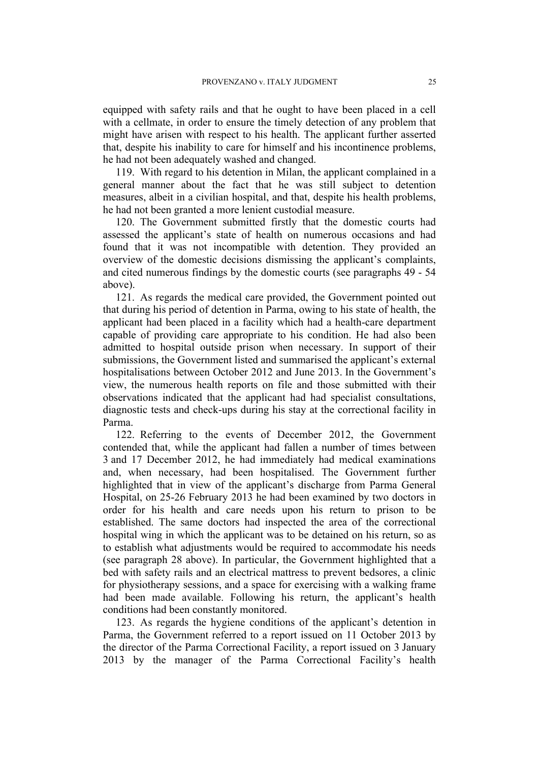equipped with safety rails and that he ought to have been placed in a cell with a cellmate, in order to ensure the timely detection of any problem that might have arisen with respect to his health. The applicant further asserted that, despite his inability to care for himself and his incontinence problems, he had not been adequately washed and changed.

119. With regard to his detention in Milan, the applicant complained in a general manner about the fact that he was still subject to detention measures, albeit in a civilian hospital, and that, despite his health problems, he had not been granted a more lenient custodial measure.

120. The Government submitted firstly that the domestic courts had assessed the applicant's state of health on numerous occasions and had found that it was not incompatible with detention. They provided an overview of the domestic decisions dismissing the applicant's complaints, and cited numerous findings by the domestic courts (see paragraphs [49](#page-10-0) - [54](#page-12-0) above).

121. As regards the medical care provided, the Government pointed out that during his period of detention in Parma, owing to his state of health, the applicant had been placed in a facility which had a health-care department capable of providing care appropriate to his condition. He had also been admitted to hospital outside prison when necessary. In support of their submissions, the Government listed and summarised the applicant's external hospitalisations between October 2012 and June 2013. In the Government's view, the numerous health reports on file and those submitted with their observations indicated that the applicant had had specialist consultations, diagnostic tests and check-ups during his stay at the correctional facility in Parma.

122. Referring to the events of December 2012, the Government contended that, while the applicant had fallen a number of times between 3 and 17 December 2012, he had immediately had medical examinations and, when necessary, had been hospitalised. The Government further highlighted that in view of the applicant's discharge from Parma General Hospital, on 25-26 February 2013 he had been examined by two doctors in order for his health and care needs upon his return to prison to be established. The same doctors had inspected the area of the correctional hospital wing in which the applicant was to be detained on his return, so as to establish what adjustments would be required to accommodate his needs (see paragraph [28](#page-6-1) above). In particular, the Government highlighted that a bed with safety rails and an electrical mattress to prevent bedsores, a clinic for physiotherapy sessions, and a space for exercising with a walking frame had been made available. Following his return, the applicant's health conditions had been constantly monitored.

123. As regards the hygiene conditions of the applicant's detention in Parma, the Government referred to a report issued on 11 October 2013 by the director of the Parma Correctional Facility, a report issued on 3 January 2013 by the manager of the Parma Correctional Facility's health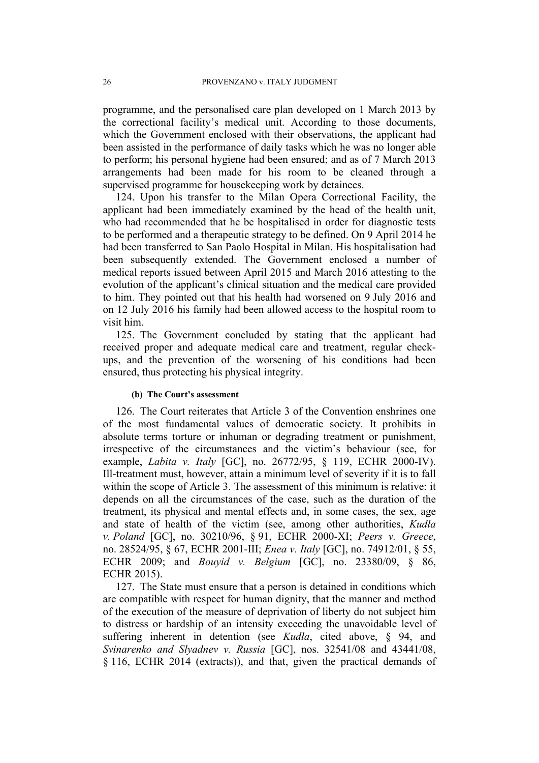programme, and the personalised care plan developed on 1 March 2013 by the correctional facility's medical unit. According to those documents, which the Government enclosed with their observations, the applicant had been assisted in the performance of daily tasks which he was no longer able to perform; his personal hygiene had been ensured; and as of 7 March 2013 arrangements had been made for his room to be cleaned through a supervised programme for housekeeping work by detainees.

124. Upon his transfer to the Milan Opera Correctional Facility, the applicant had been immediately examined by the head of the health unit, who had recommended that he be hospitalised in order for diagnostic tests to be performed and a therapeutic strategy to be defined. On 9 April 2014 he had been transferred to San Paolo Hospital in Milan. His hospitalisation had been subsequently extended. The Government enclosed a number of medical reports issued between April 2015 and March 2016 attesting to the evolution of the applicant's clinical situation and the medical care provided to him. They pointed out that his health had worsened on 9 July 2016 and on 12 July 2016 his family had been allowed access to the hospital room to visit him.

125. The Government concluded by stating that the applicant had received proper and adequate medical care and treatment, regular checkups, and the prevention of the worsening of his conditions had been ensured, thus protecting his physical integrity.

#### **(b) The Court's assessment**

126. The Court reiterates that Article 3 of the Convention enshrines one of the most fundamental values of democratic society. It prohibits in absolute terms torture or inhuman or degrading treatment or punishment, irrespective of the circumstances and the victim's behaviour (see, for example, *Labita v. Italy* [GC], no. 26772/95, § 119, ECHR 2000-IV). Ill-treatment must, however, attain a minimum level of severity if it is to fall within the scope of Article 3. The assessment of this minimum is relative: it depends on all the circumstances of the case, such as the duration of the treatment, its physical and mental effects and, in some cases, the sex, age and state of health of the victim (see, among other authorities, *Kudła v. Poland* [GC], no. 30210/96, § 91, ECHR 2000-XI; *Peers v. Greece*, no. 28524/95, § 67, ECHR 2001-III; *Enea v. Italy* [GC], no. 74912/01, § 55, ECHR 2009; and *Bouyid v. Belgium* [GC], no. 23380/09, § 86, ECHR 2015).

127. The State must ensure that a person is detained in conditions which are compatible with respect for human dignity, that the manner and method of the execution of the measure of deprivation of liberty do not subject him to distress or hardship of an intensity exceeding the unavoidable level of suffering inherent in detention (see *Kudła*, cited above, § 94, and *Svinarenko and Slyadnev v. Russia* [GC], nos. 32541/08 and 43441/08, § 116, ECHR 2014 (extracts)), and that, given the practical demands of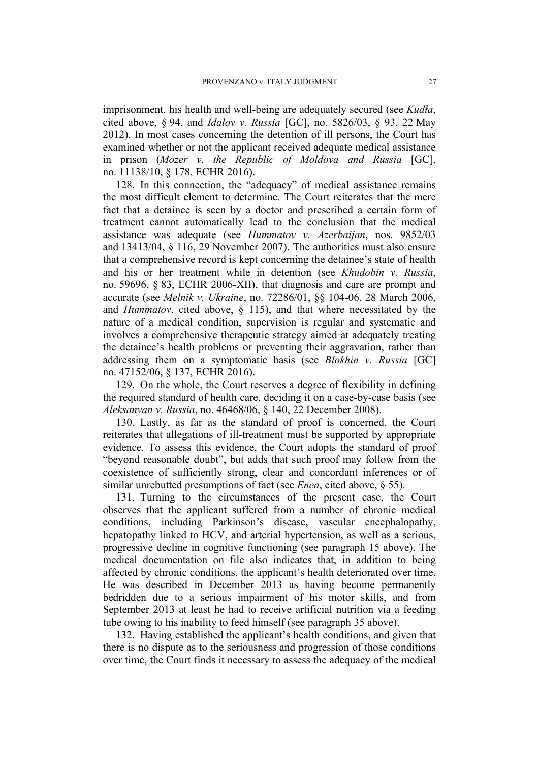imprisonment, his health and well-being are adequately secured (see *Kudła*, cited above, § 94, and *Idalov v. Russia* [GC], no. 5826/03, § 93, 22 May 2012). In most cases concerning the detention of ill persons, the Court has examined whether or not the applicant received adequate medical assistance in prison (*Mozer v. the Republic of Moldova and Russia* [GC], no. 11138/10, § 178, ECHR 2016).

128. In this connection, the "adequacy" of medical assistance remains the most difficult element to determine. The Court reiterates that the mere fact that a detainee is seen by a doctor and prescribed a certain form of treatment cannot automatically lead to the conclusion that the medical assistance was adequate (see *Hummatov v. Azerbaijan*, nos. 9852/03 and 13413/04, § 116, 29 November 2007). The authorities must also ensure that a comprehensive record is kept concerning the detainee's state of health and his or her treatment while in detention (see *Khudobin v. Russia*, no. 59696, § 83, ECHR 2006-XII), that diagnosis and care are prompt and accurate (see *Melnik v. Ukraine*, no. 72286/01, §§ 104-06, 28 March 2006, and *Hummatov*, cited above, § 115), and that where necessitated by the nature of a medical condition, supervision is regular and systematic and involves a comprehensive therapeutic strategy aimed at adequately treating the detainee's health problems or preventing their aggravation, rather than addressing them on a symptomatic basis (see *Blokhin v. Russia* [GC] no. 47152/06, § 137, ECHR 2016).

129. On the whole, the Court reserves a degree of flexibility in defining the required standard of health care, deciding it on a case-by-case basis (see *Aleksanyan v. Russia*, no. 46468/06, § 140, 22 December 2008).

130. Lastly, as far as the standard of proof is concerned, the Court reiterates that allegations of ill-treatment must be supported by appropriate evidence. To assess this evidence, the Court adopts the standard of proof "beyond reasonable doubt", but adds that such proof may follow from the coexistence of sufficiently strong, clear and concordant inferences or of similar unrebutted presumptions of fact (see *Enea*, cited above, § 55).

131. Turning to the circumstances of the present case, the Court observes that the applicant suffered from a number of chronic medical conditions, including Parkinson's disease, vascular encephalopathy, hepatopathy linked to HCV, and arterial hypertension, as well as a serious, progressive decline in cognitive functioning (see paragraph [15](#page-4-0) above). The medical documentation on file also indicates that, in addition to being affected by chronic conditions, the applicant's health deteriorated over time. He was described in December 2013 as having become permanently bedridden due to a serious impairment of his motor skills, and from September 2013 at least he had to receive artificial nutrition via a feeding tube owing to his inability to feed himself (see paragraph [35](#page-7-0) above).

132. Having established the applicant's health conditions, and given that there is no dispute as to the seriousness and progression of those conditions over time, the Court finds it necessary to assess the adequacy of the medical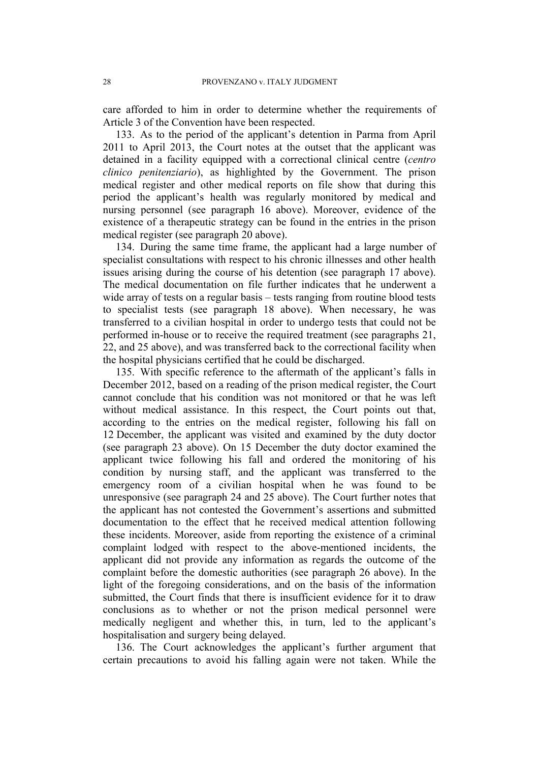care afforded to him in order to determine whether the requirements of Article 3 of the Convention have been respected.

133. As to the period of the applicant's detention in Parma from April 2011 to April 2013, the Court notes at the outset that the applicant was detained in a facility equipped with a correctional clinical centre (*centro clinico penitenziario*), as highlighted by the Government. The prison medical register and other medical reports on file show that during this period the applicant's health was regularly monitored by medical and nursing personnel (see paragraph [16](#page-4-1) above). Moreover, evidence of the existence of a therapeutic strategy can be found in the entries in the prison medical register (see paragraph [20](#page-5-0) above).

134. During the same time frame, the applicant had a large number of specialist consultations with respect to his chronic illnesses and other health issues arising during the course of his detention (see paragraph [17](#page-4-2) above). The medical documentation on file further indicates that he underwent a wide array of tests on a regular basis – tests ranging from routine blood tests to specialist tests (see paragraph [18](#page-5-1) above). When necessary, he was transferred to a civilian hospital in order to undergo tests that could not be performed in-house or to receive the required treatment (see paragraphs [21,](#page-5-2) [22,](#page-5-3) and [25](#page-6-0) above), and was transferred back to the correctional facility when the hospital physicians certified that he could be discharged.

135. With specific reference to the aftermath of the applicant's falls in December 2012, based on a reading of the prison medical register, the Court cannot conclude that his condition was not monitored or that he was left without medical assistance. In this respect, the Court points out that, according to the entries on the medical register, following his fall on 12 December, the applicant was visited and examined by the duty doctor (see paragraph [23](#page-5-4) above). On 15 December the duty doctor examined the applicant twice following his fall and ordered the monitoring of his condition by nursing staff, and the applicant was transferred to the emergency room of a civilian hospital when he was found to be unresponsive (see paragraph [24](#page-6-3) and [25](#page-6-0) above). The Court further notes that the applicant has not contested the Government's assertions and submitted documentation to the effect that he received medical attention following these incidents. Moreover, aside from reporting the existence of a criminal complaint lodged with respect to the above-mentioned incidents, the applicant did not provide any information as regards the outcome of the complaint before the domestic authorities (see paragraph [26](#page-6-4) above). In the light of the foregoing considerations, and on the basis of the information submitted, the Court finds that there is insufficient evidence for it to draw conclusions as to whether or not the prison medical personnel were medically negligent and whether this, in turn, led to the applicant's hospitalisation and surgery being delayed.

136. The Court acknowledges the applicant's further argument that certain precautions to avoid his falling again were not taken. While the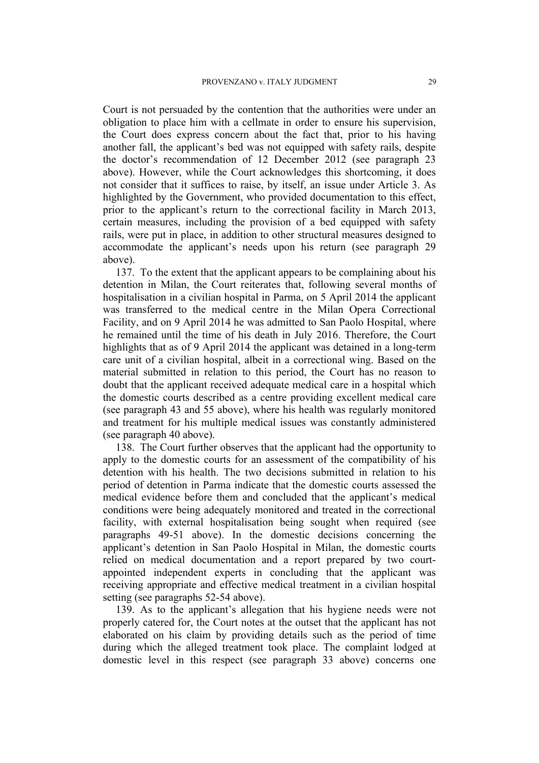Court is not persuaded by the contention that the authorities were under an obligation to place him with a cellmate in order to ensure his supervision, the Court does express concern about the fact that, prior to his having another fall, the applicant's bed was not equipped with safety rails, despite the doctor's recommendation of 12 December 2012 (see paragraph [23](#page-5-4) above). However, while the Court acknowledges this shortcoming, it does not consider that it suffices to raise, by itself, an issue under Article 3. As highlighted by the Government, who provided documentation to this effect, prior to the applicant's return to the correctional facility in March 2013, certain measures, including the provision of a bed equipped with safety rails, were put in place, in addition to other structural measures designed to accommodate the applicant's needs upon his return (see paragraph [29](#page-6-5) above).

137. To the extent that the applicant appears to be complaining about his detention in Milan, the Court reiterates that, following several months of hospitalisation in a civilian hospital in Parma, on 5 April 2014 the applicant was transferred to the medical centre in the Milan Opera Correctional Facility, and on 9 April 2014 he was admitted to San Paolo Hospital, where he remained until the time of his death in July 2016. Therefore, the Court highlights that as of 9 April 2014 the applicant was detained in a long-term care unit of a civilian hospital, albeit in a correctional wing. Based on the material submitted in relation to this period, the Court has no reason to doubt that the applicant received adequate medical care in a hospital which the domestic courts described as a centre providing excellent medical care (see paragraph [43](#page-9-0) and [55](#page-12-1) above), where his health was regularly monitored and treatment for his multiple medical issues was constantly administered (see paragraph [40](#page-8-1) above).

138. The Court further observes that the applicant had the opportunity to apply to the domestic courts for an assessment of the compatibility of his detention with his health. The two decisions submitted in relation to his period of detention in Parma indicate that the domestic courts assessed the medical evidence before them and concluded that the applicant's medical conditions were being adequately monitored and treated in the correctional facility, with external hospitalisation being sought when required (see paragraphs [49](#page-10-0)[-51](#page-11-0) above). In the domestic decisions concerning the applicant's detention in San Paolo Hospital in Milan, the domestic courts relied on medical documentation and a report prepared by two courtappointed independent experts in concluding that the applicant was receiving appropriate and effective medical treatment in a civilian hospital setting (see paragraphs [52-](#page-12-2)[54](#page-12-0) above).

139. As to the applicant's allegation that his hygiene needs were not properly catered for, the Court notes at the outset that the applicant has not elaborated on his claim by providing details such as the period of time during which the alleged treatment took place. The complaint lodged at domestic level in this respect (see paragraph [33](#page-7-1) above) concerns one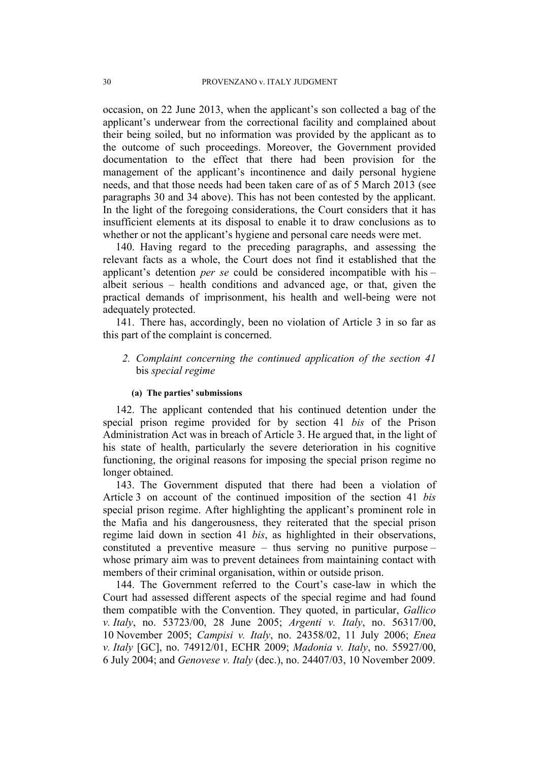occasion, on 22 June 2013, when the applicant's son collected a bag of the applicant's underwear from the correctional facility and complained about their being soiled, but no information was provided by the applicant as to the outcome of such proceedings. Moreover, the Government provided documentation to the effect that there had been provision for the management of the applicant's incontinence and daily personal hygiene needs, and that those needs had been taken care of as of 5 March 2013 (see paragraphs [30](#page-6-2) and [34](#page-7-2) above). This has not been contested by the applicant. In the light of the foregoing considerations, the Court considers that it has insufficient elements at its disposal to enable it to draw conclusions as to whether or not the applicant's hygiene and personal care needs were met.

140. Having regard to the preceding paragraphs, and assessing the relevant facts as a whole, the Court does not find it established that the applicant's detention *per se* could be considered incompatible with his – albeit serious – health conditions and advanced age, or that, given the practical demands of imprisonment, his health and well-being were not adequately protected.

141. There has, accordingly, been no violation of Article 3 in so far as this part of the complaint is concerned.

# *2. Complaint concerning the continued application of the section 41* bis *special regime*

### **(a) The parties' submissions**

142. The applicant contended that his continued detention under the special prison regime provided for by section 41 *bis* of the Prison Administration Act was in breach of Article 3. He argued that, in the light of his state of health, particularly the severe deterioration in his cognitive functioning, the original reasons for imposing the special prison regime no longer obtained.

<span id="page-31-0"></span>143. The Government disputed that there had been a violation of Article 3 on account of the continued imposition of the section 41 *bis* special prison regime. After highlighting the applicant's prominent role in the Mafia and his dangerousness, they reiterated that the special prison regime laid down in section 41 *bis*, as highlighted in their observations, constituted a preventive measure – thus serving no punitive purpose – whose primary aim was to prevent detainees from maintaining contact with members of their criminal organisation, within or outside prison.

144. The Government referred to the Court's case-law in which the Court had assessed different aspects of the special regime and had found them compatible with the Convention. They quoted, in particular, *Gallico v. Italy*, no. 53723/00, 28 June 2005; *Argenti v. Italy*, no. 56317/00, 10 November 2005; *Campisi v. Italy*, no. 24358/02, 11 July 2006; *Enea v. Italy* [GC], no. 74912/01, ECHR 2009; *Madonia v. Italy*, no. 55927/00, 6 July 2004; and *Genovese v. Italy* (dec.), no. 24407/03, 10 November 2009.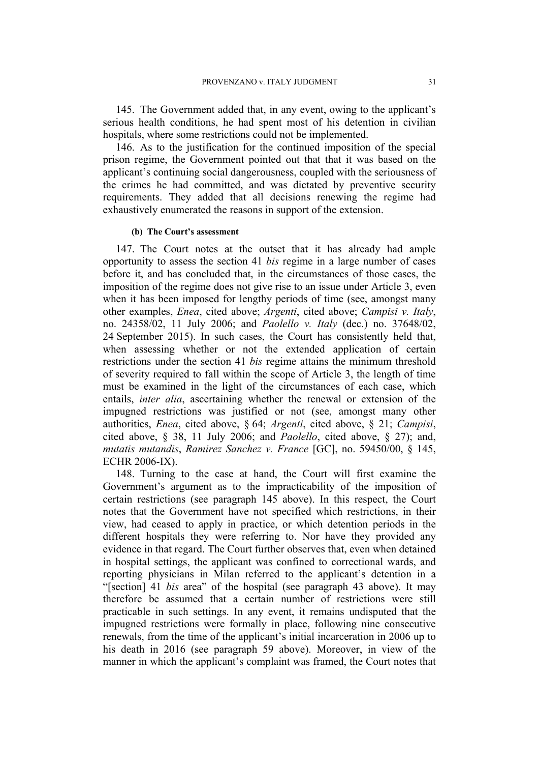<span id="page-32-0"></span>145. The Government added that, in any event, owing to the applicant's serious health conditions, he had spent most of his detention in civilian hospitals, where some restrictions could not be implemented.

<span id="page-32-1"></span>146. As to the justification for the continued imposition of the special prison regime, the Government pointed out that that it was based on the applicant's continuing social dangerousness, coupled with the seriousness of the crimes he had committed, and was dictated by preventive security requirements. They added that all decisions renewing the regime had exhaustively enumerated the reasons in support of the extension.

#### **(b) The Court's assessment**

147. The Court notes at the outset that it has already had ample opportunity to assess the section 41 *bis* regime in a large number of cases before it, and has concluded that, in the circumstances of those cases, the imposition of the regime does not give rise to an issue under Article 3, even when it has been imposed for lengthy periods of time (see, amongst many other examples, *Enea*, cited above; *Argenti*, cited above; *Campisi v. Italy*, no. 24358/02, 11 July 2006; and *Paolello v. Italy* (dec.) no. 37648/02, 24 September 2015). In such cases, the Court has consistently held that, when assessing whether or not the extended application of certain restrictions under the section 41 *bis* regime attains the minimum threshold of severity required to fall within the scope of Article 3, the length of time must be examined in the light of the circumstances of each case, which entails, *inter alia*, ascertaining whether the renewal or extension of the impugned restrictions was justified or not (see, amongst many other authorities, *Enea*, cited above, § 64; *Argenti*, cited above, § 21; *Campisi*, cited above, § 38, 11 July 2006; and *Paolello*, cited above, § 27); and, *mutatis mutandis*, *Ramirez Sanchez v. France* [GC], no. 59450/00, § 145, ECHR 2006-IX).

148. Turning to the case at hand, the Court will first examine the Government's argument as to the impracticability of the imposition of certain restrictions (see paragraph [145](#page-32-0) above). In this respect, the Court notes that the Government have not specified which restrictions, in their view, had ceased to apply in practice, or which detention periods in the different hospitals they were referring to. Nor have they provided any evidence in that regard. The Court further observes that, even when detained in hospital settings, the applicant was confined to correctional wards, and reporting physicians in Milan referred to the applicant's detention in a "[section] 41 *bis* area" of the hospital (see paragraph [43](#page-9-0) above). It may therefore be assumed that a certain number of restrictions were still practicable in such settings. In any event, it remains undisputed that the impugned restrictions were formally in place, following nine consecutive renewals, from the time of the applicant's initial incarceration in 2006 up to his death in 2016 (see paragraph [59](#page-13-1) above). Moreover, in view of the manner in which the applicant's complaint was framed, the Court notes that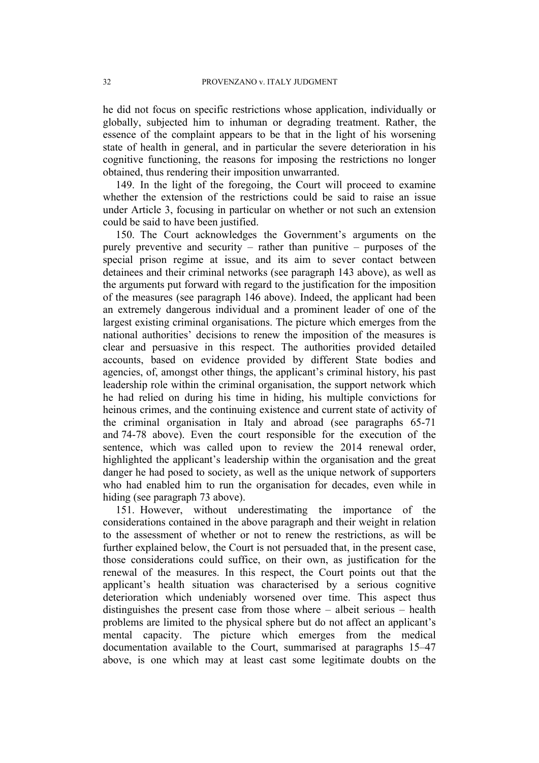he did not focus on specific restrictions whose application, individually or globally, subjected him to inhuman or degrading treatment. Rather, the essence of the complaint appears to be that in the light of his worsening state of health in general, and in particular the severe deterioration in his cognitive functioning, the reasons for imposing the restrictions no longer obtained, thus rendering their imposition unwarranted.

149. In the light of the foregoing, the Court will proceed to examine whether the extension of the restrictions could be said to raise an issue under Article 3, focusing in particular on whether or not such an extension could be said to have been justified.

150. The Court acknowledges the Government's arguments on the purely preventive and security – rather than punitive – purposes of the special prison regime at issue, and its aim to sever contact between detainees and their criminal networks (see paragraph [143](#page-31-0) above), as well as the arguments put forward with regard to the justification for the imposition of the measures (see paragraph [146](#page-32-1) above). Indeed, the applicant had been an extremely dangerous individual and a prominent leader of one of the largest existing criminal organisations. The picture which emerges from the national authorities' decisions to renew the imposition of the measures is clear and persuasive in this respect. The authorities provided detailed accounts, based on evidence provided by different State bodies and agencies, of, amongst other things, the applicant's criminal history, his past leadership role within the criminal organisation, the support network which he had relied on during his time in hiding, his multiple convictions for heinous crimes, and the continuing existence and current state of activity of the criminal organisation in Italy and abroad (see paragraphs [65-](#page-14-0)[71](#page-15-1) and [74](#page-16-0)[-78](#page-17-0) above). Even the court responsible for the execution of the sentence, which was called upon to review the 2014 renewal order, highlighted the applicant's leadership within the organisation and the great danger he had posed to society, as well as the unique network of supporters who had enabled him to run the organisation for decades, even while in hiding (see paragraph [73](#page-15-0) above).

151. However, without underestimating the importance of the considerations contained in the above paragraph and their weight in relation to the assessment of whether or not to renew the restrictions, as will be further explained below, the Court is not persuaded that, in the present case, those considerations could suffice, on their own, as justification for the renewal of the measures. In this respect, the Court points out that the applicant's health situation was characterised by a serious cognitive deterioration which undeniably worsened over time. This aspect thus distinguishes the present case from those where – albeit serious – health problems are limited to the physical sphere but do not affect an applicant's mental capacity. The picture which emerges from the medical documentation available to the Court, summarised at paragraphs [15–](#page-4-0)[47](#page-10-1) above, is one which may at least cast some legitimate doubts on the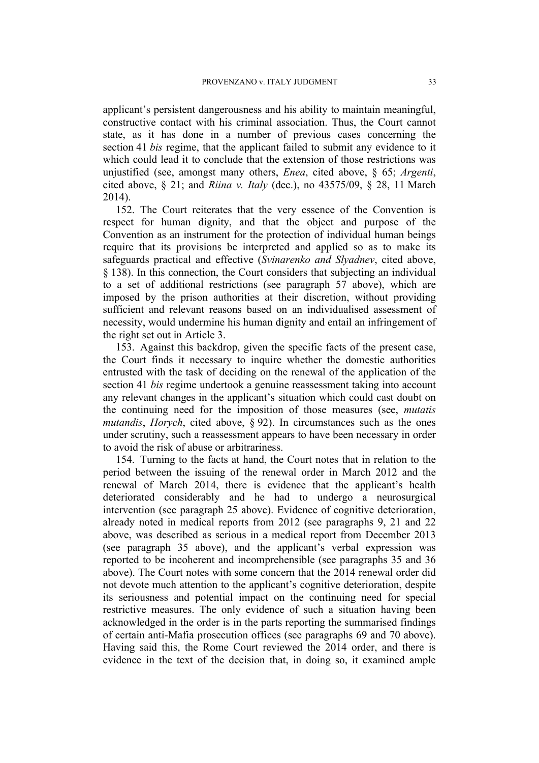applicant's persistent dangerousness and his ability to maintain meaningful, constructive contact with his criminal association. Thus, the Court cannot state, as it has done in a number of previous cases concerning the section 41 *bis* regime, that the applicant failed to submit any evidence to it which could lead it to conclude that the extension of those restrictions was unjustified (see, amongst many others, *Enea*, cited above, § 65; *Argenti*, cited above, § 21; and *Riina v. Italy* (dec.), no 43575/09, § 28, 11 March 2014).

152. The Court reiterates that the very essence of the Convention is respect for human dignity, and that the object and purpose of the Convention as an instrument for the protection of individual human beings require that its provisions be interpreted and applied so as to make its safeguards practical and effective (*Svinarenko and Slyadnev*, cited above, § 138). In this connection, the Court considers that subjecting an individual to a set of additional restrictions (see paragraph 57 above), which are imposed by the prison authorities at their discretion, without providing sufficient and relevant reasons based on an individualised assessment of necessity, would undermine his human dignity and entail an infringement of the right set out in Article 3.

153. Against this backdrop, given the specific facts of the present case, the Court finds it necessary to inquire whether the domestic authorities entrusted with the task of deciding on the renewal of the application of the section 41 *bis* regime undertook a genuine reassessment taking into account any relevant changes in the applicant's situation which could cast doubt on the continuing need for the imposition of those measures (see, *mutatis mutandis*, *Horych*, cited above, § 92). In circumstances such as the ones under scrutiny, such a reassessment appears to have been necessary in order to avoid the risk of abuse or arbitrariness.

154. Turning to the facts at hand, the Court notes that in relation to the period between the issuing of the renewal order in March 2012 and the renewal of March 2014, there is evidence that the applicant's health deteriorated considerably and he had to undergo a neurosurgical intervention (see paragraph [25](#page-6-0) above). Evidence of cognitive deterioration, already noted in medical reports from 2012 (see paragraphs [9](#page-3-1), [21](#page-5-2) and [22](#page-5-3) above, was described as serious in a medical report from December 2013 (see paragraph [35](#page-7-0) above), and the applicant's verbal expression was reported to be incoherent and incomprehensible (see paragraphs [35](#page-7-0) and [36](#page-8-2) above). The Court notes with some concern that the 2014 renewal order did not devote much attention to the applicant's cognitive deterioration, despite its seriousness and potential impact on the continuing need for special restrictive measures. The only evidence of such a situation having been acknowledged in the order is in the parts reporting the summarised findings of certain anti-Mafia prosecution offices (see paragraphs [69](#page-15-2) and [70](#page-15-3) above). Having said this, the Rome Court reviewed the 2014 order, and there is evidence in the text of the decision that, in doing so, it examined ample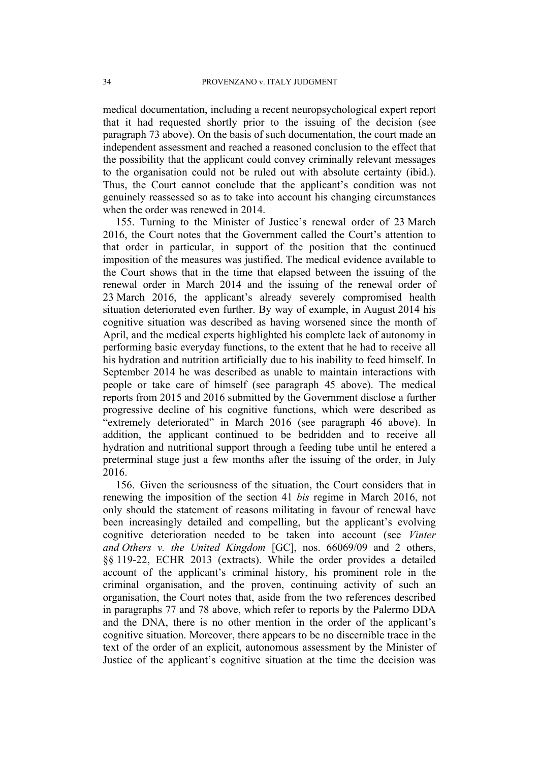medical documentation, including a recent neuropsychological expert report that it had requested shortly prior to the issuing of the decision (see paragraph [73](#page-15-0) above). On the basis of such documentation, the court made an independent assessment and reached a reasoned conclusion to the effect that the possibility that the applicant could convey criminally relevant messages to the organisation could not be ruled out with absolute certainty (ibid.). Thus, the Court cannot conclude that the applicant's condition was not genuinely reassessed so as to take into account his changing circumstances when the order was renewed in 2014.

155. Turning to the Minister of Justice's renewal order of 23 March 2016, the Court notes that the Government called the Court's attention to that order in particular, in support of the position that the continued imposition of the measures was justified. The medical evidence available to the Court shows that in the time that elapsed between the issuing of the renewal order in March 2014 and the issuing of the renewal order of 23 March 2016, the applicant's already severely compromised health situation deteriorated even further. By way of example, in August 2014 his cognitive situation was described as having worsened since the month of April, and the medical experts highlighted his complete lack of autonomy in performing basic everyday functions, to the extent that he had to receive all his hydration and nutrition artificially due to his inability to feed himself. In September 2014 he was described as unable to maintain interactions with people or take care of himself (see paragraph [45](#page-10-2) above). The medical reports from 2015 and 2016 submitted by the Government disclose a further progressive decline of his cognitive functions, which were described as "extremely deteriorated" in March 2016 (see paragraph [46](#page-10-3) above). In addition, the applicant continued to be bedridden and to receive all hydration and nutritional support through a feeding tube until he entered a preterminal stage just a few months after the issuing of the order, in July 2016.

156. Given the seriousness of the situation, the Court considers that in renewing the imposition of the section 41 *bis* regime in March 2016, not only should the statement of reasons militating in favour of renewal have been increasingly detailed and compelling, but the applicant's evolving cognitive deterioration needed to be taken into account (see *Vinter and Others v. the United Kingdom* [GC], nos. 66069/09 and 2 others, §§ 119-22, ECHR 2013 (extracts). While the order provides a detailed account of the applicant's criminal history, his prominent role in the criminal organisation, and the proven, continuing activity of such an organisation, the Court notes that, aside from the two references described in paragraphs [77](#page-17-1) and [78](#page-17-0) above, which refer to reports by the Palermo DDA and the DNA, there is no other mention in the order of the applicant's cognitive situation. Moreover, there appears to be no discernible trace in the text of the order of an explicit, autonomous assessment by the Minister of Justice of the applicant's cognitive situation at the time the decision was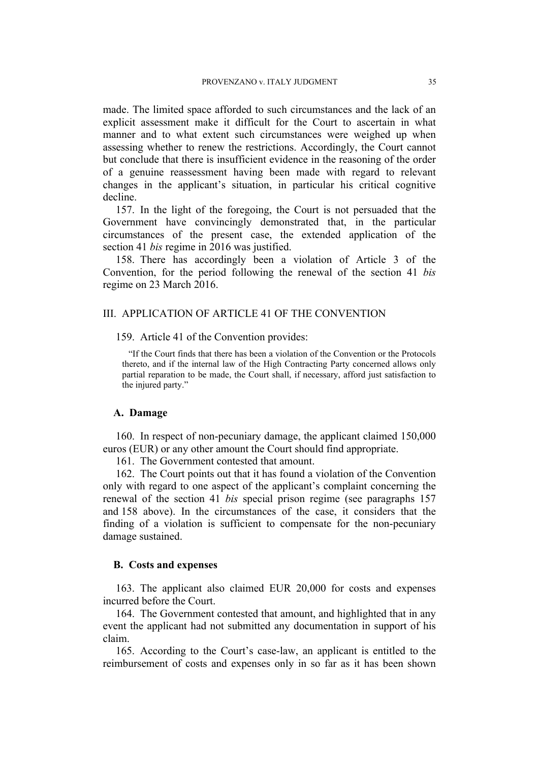made. The limited space afforded to such circumstances and the lack of an explicit assessment make it difficult for the Court to ascertain in what manner and to what extent such circumstances were weighed up when assessing whether to renew the restrictions. Accordingly, the Court cannot but conclude that there is insufficient evidence in the reasoning of the order of a genuine reassessment having been made with regard to relevant changes in the applicant's situation, in particular his critical cognitive decline.

<span id="page-36-0"></span>157. In the light of the foregoing, the Court is not persuaded that the Government have convincingly demonstrated that, in the particular circumstances of the present case, the extended application of the section 41 *bis* regime in 2016 was justified.

<span id="page-36-1"></span>158. There has accordingly been a violation of Article 3 of the Convention, for the period following the renewal of the section 41 *bis* regime on 23 March 2016.

# III. APPLICATION OF ARTICLE 41 OF THE CONVENTION

159. Article 41 of the Convention provides:

"If the Court finds that there has been a violation of the Convention or the Protocols thereto, and if the internal law of the High Contracting Party concerned allows only partial reparation to be made, the Court shall, if necessary, afford just satisfaction to the injured party."

## **A. Damage**

160. In respect of non-pecuniary damage, the applicant claimed 150,000 euros (EUR) or any other amount the Court should find appropriate.

161. The Government contested that amount.

162. The Court points out that it has found a violation of the Convention only with regard to one aspect of the applicant's complaint concerning the renewal of the section 41 *bis* special prison regime (see paragraphs [157](#page-36-0) and [158](#page-36-1) above). In the circumstances of the case, it considers that the finding of a violation is sufficient to compensate for the non-pecuniary damage sustained.

### **B. Costs and expenses**

163. The applicant also claimed EUR 20,000 for costs and expenses incurred before the Court.

164. The Government contested that amount, and highlighted that in any event the applicant had not submitted any documentation in support of his claim.

165. According to the Court's case-law, an applicant is entitled to the reimbursement of costs and expenses only in so far as it has been shown